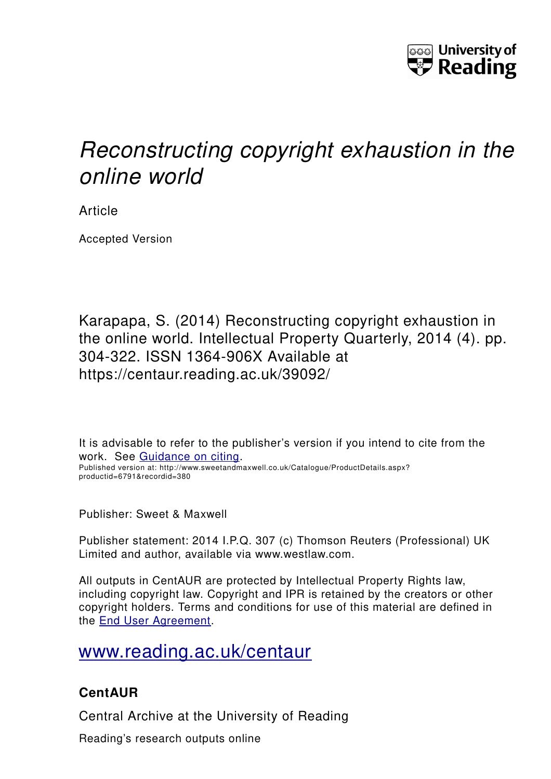

# *Reconstructing copyright exhaustion in the online world*

Article

Accepted Version

Karapapa, S. (2014) Reconstructing copyright exhaustion in the online world. Intellectual Property Quarterly, 2014 (4). pp. 304-322. ISSN 1364-906X Available at https://centaur.reading.ac.uk/39092/

It is advisable to refer to the publisher's version if you intend to cite from the work. See [Guidance on citing.](http://centaur.reading.ac.uk/71187/10/CentAUR%20citing%20guide.pdf) Published version at: http://www.sweetandmaxwell.co.uk/Catalogue/ProductDetails.aspx? productid=6791&recordid=380

Publisher: Sweet & Maxwell

Publisher statement: 2014 I.P.Q. 307 (c) Thomson Reuters (Professional) UK Limited and author, available via www.westlaw.com.

All outputs in CentAUR are protected by Intellectual Property Rights law, including copyright law. Copyright and IPR is retained by the creators or other copyright holders. Terms and conditions for use of this material are defined in the [End User Agreement.](http://centaur.reading.ac.uk/licence)

# [www.reading.ac.uk/centaur](http://www.reading.ac.uk/centaur)

# **CentAUR**

Central Archive at the University of Reading

Reading's research outputs online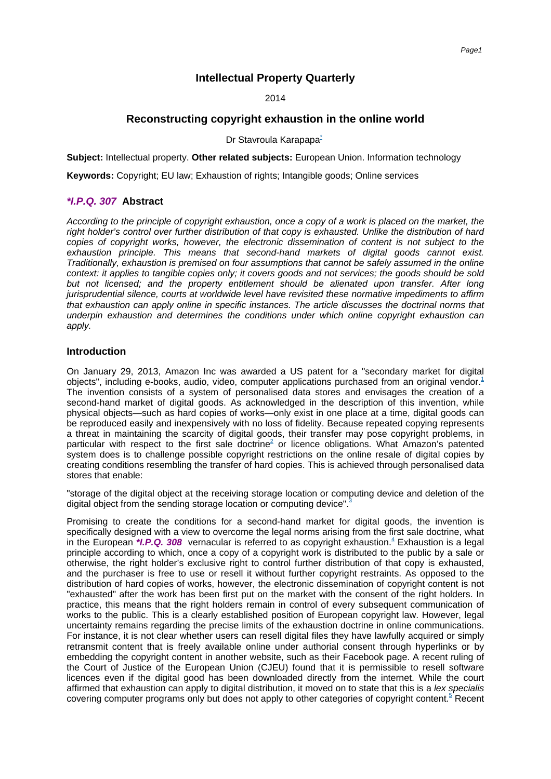# **Intellectual Property Quarterly**

2014

# **Reconstructing copyright exhaustion in the online world**

### Dr Stavroula [Karapapa](#page-12-0)<sup>-</sup>

<span id="page-1-0"></span>**Subject:** Intellectual property. **Other related subjects:** European Union. Information technology

**Keywords:** Copyright; EU law; Exhaustion of rights; Intangible goods; Online services

# **\*I.P.Q. 307 Abstract**

According to the principle of copyright exhaustion, once a copy of a work is placed on the market, the right holder's control over further distribution of that copy is exhausted. Unlike the distribution of hard copies of copyright works, however, the electronic dissemination of content is not subject to the exhaustion principle. This means that second-hand markets of digital goods cannot exist. Traditionally, exhaustion is premised on four assumptions that cannot be safely assumed in the online context: it applies to tangible copies only; it covers goods and not services; the goods should be sold but not licensed; and the property entitlement should be alienated upon transfer. After long jurisprudential silence, courts at worldwide level have revisited these normative impediments to affirm that exhaustion can apply online in specific instances. The article discusses the doctrinal norms that underpin exhaustion and determines the conditions under which online copyright exhaustion can apply.

# **Introduction**

<span id="page-1-1"></span>On January 29, 2013, Amazon Inc was awarded a US patent for a "secondary market for digital objects", including e-books, audio, video, computer applications purchased from an original [vendor.](#page-12-1)<sup>1</sup> The invention consists of a system of personalised data stores and envisages the creation of a second-hand market of digital goods. As acknowledged in the description of this invention, while physical objects—such as hard copies of works—only exist in one place at a time, digital goods can be reproduced easily and inexpensively with no loss of fidelity. Because repeated copying represents a threat in maintaining the scarcity of digital goods, their transfer may pose copyright problems, in particular with respect to the first sale [doctrine](#page--1-0)<sup>2</sup> or licence obligations. What Amazon's patented system does is to challenge possible copyright restrictions on the online resale of digital copies by creating conditions resembling the transfer of hard copies. This is achieved through personalised data stores that enable:

<span id="page-1-3"></span><span id="page-1-2"></span>"storage of the digital object at the receiving storage location or computing device and deletion of the digital object from the sending storage location or computing [device".](#page-13-0)

<span id="page-1-5"></span><span id="page-1-4"></span>Promising to create the conditions for a second-hand market for digital goods, the invention is specifically designed with a view to overcome the legal norms arising from the first sale doctrine, what in the European \**I.P.Q. 308* vernacular is referred to as copyright [exhaustion.](#page-13-1)<sup>4</sup> Exhaustion is a legal principle according to which, once a copy of a copyright work is distributed to the public by a sale or otherwise, the right holder's exclusive right to control further distribution of that copy is exhausted, and the purchaser is free to use or resell it without further copyright restraints. As opposed to the distribution of hard copies of works, however, the electronic dissemination of copyright content is not "exhausted" after the work has been first put on the market with the consent of the right holders. In practice, this means that the right holders remain in control of every subsequent communication of works to the public. This is a clearly established position of European copyright law. However, legal uncertainty remains regarding the precise limits of the exhaustion doctrine in online communications. For instance, it is not clear whether users can resell digital files they have lawfully acquired or simply retransmit content that is freely available online under authorial consent through hyperlinks or by embedding the copyright content in another website, such as their Facebook page. A recent ruling of the Court of Justice of the European Union (CJEU) found that it is permissible to resell software licences even if the digital good has been downloaded directly from the internet. While the court affirmed that exhaustion can apply to digital distribution, it moved on to state that this is a lex specialis covering computer programs only but does not apply to other categories of copyrigh[t content.](#page-13-2)<sup>5</sup> Recent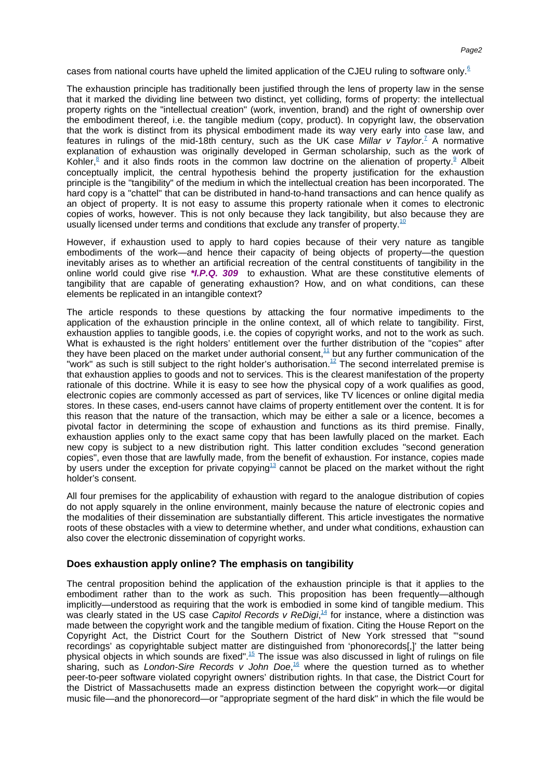<span id="page-2-0"></span>cases from national courts have upheld the limited application of the CJEU ruling to software [only.](#page-13-3)<sup>6</sup>

<span id="page-2-2"></span><span id="page-2-1"></span>The exhaustion principle has traditionally been justified through the lens of property law in the sense that it marked the dividing line between two distinct, yet colliding, forms of property: the intellectual property rights on the "intellectual creation" (work, invention, brand) and the right of ownership over the embodiment thereof, i.e. the tangible medium (copy, product). In copyright law, the observation that the work is distinct from its physical embodiment made its way very early into case law, and features in rulings of the mid-18th century, such as the UK case *Millar v Taylor*.<sup>7</sup> [A nor](#page-13-4)mative explanation of exhaustion was originally developed in German scholarship, such as the work of [Kohler,](#page-13-5)<sup>8</sup> and it also finds roots in the common law doctrine on the alienation of [property.](#page-13-6)<sup>9</sup> Albeit conceptually implicit, the central hypothesis behind the property justification for the exhaustion principle is the "tangibility" of the medium in which the intellectual creation has been incorporated. The hard copy is a "chattel" that can be distributed in hand-to-hand transactions and can hence qualify as an object of property. It is not easy to assume this property rationale when it comes to electronic copies of works, however. This is not only because they lack tangibility, but also because they are usually licensed under terms and conditions that exclude any transfer o[f property.](#page-13-7)<sup>10</sup>

<span id="page-2-3"></span>However, if exhaustion used to apply to hard copies because of their very nature as tangible embodiments of the work—and hence their capacity of being objects of property—the question inevitably arises as to whether an artificial recreation of the central constituents of tangibility in the online world could give rise **\*I.P.Q. 309** to exhaustion. What are these constitutive elements of tangibility that are capable of generating exhaustion? How, and on what conditions, can these elements be replicated in an intangible context?

<span id="page-2-5"></span><span id="page-2-4"></span>The article responds to these questions by attacking the four normative impediments to the application of the exhaustion principle in the online context, all of which relate to tangibility. First, exhaustion applies to tangible goods, i.e. the copies of copyright works, and not to the work as such. What is exhausted is the right holders' entitlement over the further distribution of the "copies" after they have been placed on the market under authorial [consent,](#page-13-8) $^{11}$  but any further communication of the "work" as such is still subject to the right holder's [authorisation.](#page-13-9)<sup>12</sup> The second interrelated premise is that exhaustion applies to goods and not to services. This is the clearest manifestation of the property rationale of this doctrine. While it is easy to see how the physical copy of a work qualifies as good, electronic copies are commonly accessed as part of services, like TV licences or online digital media stores. In these cases, end-users cannot have claims of property entitlement over the content. It is for this reason that the nature of the transaction, which may be either a sale or a licence, becomes a pivotal factor in determining the scope of exhaustion and functions as its third premise. Finally, exhaustion applies only to the exact same copy that has been lawfully placed on the market. Each new copy is subject to a new distribution right. This latter condition excludes "second generation copies", even those that are lawfully made, from the benefit of exhaustion. For instance, copies made by users under the exception for private [copying](#page-13-10)<sup>13</sup> cannot be placed on the market without the right holder's consent.

<span id="page-2-6"></span>All four premises for the applicability of exhaustion with regard to the analogue distribution of copies do not apply squarely in the online environment, mainly because the nature of electronic copies and the modalities of their dissemination are substantially different. This article investigates the normative roots of these obstacles with a view to determine whether, and under what conditions, exhaustion can also cover the electronic dissemination of copyright works.

# **Does exhaustion apply online? The emphasis on tangibility**

<span id="page-2-9"></span><span id="page-2-8"></span><span id="page-2-7"></span>The central proposition behind the application of the exhaustion principle is that it applies to the embodiment rather than to the work as such. This proposition has been frequently—although implicitly—understood as requiring that the work is embodied in some kind of tangible medium. This was clearly stated in the US case Capitol Records v ReDigi, $^{14}$  [for inst](#page-13-11)ance, where a distinction was made between the copyright work and the tangible medium of fixation. Citing the House Report on the Copyright Act, the District Court for the Southern District of New York stressed that "'sound recordings' as copyrightable subject matter are distinguished from 'phonorecords[,]' the latter being physical objects in which sounds are [fixed".](#page-13-12)<sup>15</sup> The issue was also discussed in light of rulings on file sharing, such as London-Sire Records v John Doe,<sup>16</sup> [whe](#page-13-13)re the question turned as to whether peer-to-peer software violated copyright owners' distribution rights. In that case, the District Court for the District of Massachusetts made an express distinction between the copyright work—or digital music file—and the phonorecord—or "appropriate segment of the hard disk" in which the file would be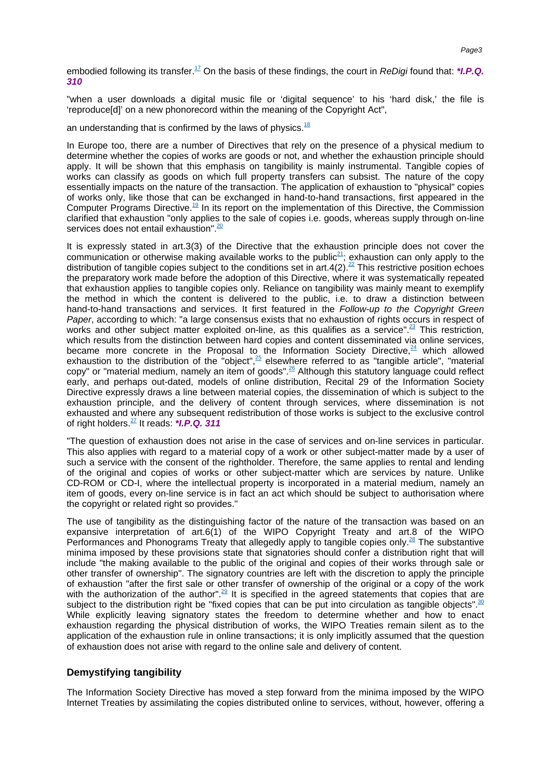<span id="page-3-0"></span>embodied following its [transfer.](#page-13-14)<sup>17</sup> On the basis of these findings, the court in ReDigi found that: \***I.P.Q. 310**

"when a user downloads a digital music file or 'digital sequence' to his 'hard disk,' the file is 'reproduce[d]' on a new phonorecord within the meaning of the Copyright Act",

<span id="page-3-1"></span>an understanding that is confirmed by the laws o[f physics.](#page-13-15) $18$ 

In Europe too, there are a number of Directives that rely on the presence of a physical medium to determine whether the copies of works are goods or not, and whether the exhaustion principle should apply. It will be shown that this emphasis on tangibility is mainly instrumental. Tangible copies of works can classify as goods on which full property transfers can subsist. The nature of the copy essentially impacts on the nature of the transaction. The application of exhaustion to "physical" copies of works only, like those that can be exchanged in hand-to-hand transactions, first appeared in the Computer Programs [Directive.](#page-13-16)<sup>19</sup> In its report on the implementation of this Directive, the Commission clarified that exhaustion "only applies to the sale of copies i.e. goods, whereas supply through on-line services does not entai[l exhaustion".](#page-13-17)<sup>20</sup>

<span id="page-3-6"></span><span id="page-3-5"></span><span id="page-3-4"></span><span id="page-3-3"></span><span id="page-3-2"></span>It is expressly stated in art.3(3) of the Directive that the exhaustion principle does not cover the communication or otherwise making available works to the [public](#page-13-18)<sup>21</sup>; exhaustion can only apply to the distribution of tangible copies subject to the conditions set i[n art.4\(2\).](#page-13-19)<sup>22</sup> This restrictive position echoes the preparatory work made before the adoption of this Directive, where it was systematically repeated that exhaustion applies to tangible copies only. Reliance on tangibility was mainly meant to exemplify the method in which the content is delivered to the public, i.e. to draw a distinction between hand-to-hand transactions and services. It first featured in the Follow-up to the Copyright Green Paper, according to which: "a large consensus exists that no exhaustion of rights occurs in respect of works and other subject matter exploited on-line, as this qualifies as a [service".](#page--1-1)<sup>23</sup> This restriction, which results from the distinction between hard copies and content disseminated via online services, became more concrete in the Proposal to the Information Society [Directive,](#page-14-0) $24$  which allowed exhaustion to the distribution of the ["object",](#page-14-1) $\frac{25}{3}$  elsewhere referred to as "tangible article", "material copy" or "material medium, namely an item of [goods".](#page-14-2)<sup>26</sup> Although this statutory language could reflect early, and perhaps out-dated, models of online distribution, Recital 29 of the Information Society Directive expressly draws a line between material copies, the dissemination of which is subject to the exhaustion principle, and the delivery of content through services, where dissemination is not exhausted and where any subsequent redistribution of those works is subject to the exclusive control of right [holders.](#page-14-3)<sup>27</sup> It reads: **\*I.P.Q. 311**

<span id="page-3-10"></span><span id="page-3-9"></span><span id="page-3-8"></span><span id="page-3-7"></span>"The question of exhaustion does not arise in the case of services and on-line services in particular. This also applies with regard to a material copy of a work or other subject-matter made by a user of such a service with the consent of the rightholder. Therefore, the same applies to rental and lending of the original and copies of works or other subject-matter which are services by nature. Unlike CD-ROM or CD-I, where the intellectual property is incorporated in a material medium, namely an item of goods, every on-line service is in fact an act which should be subject to authorisation where the copyright or related right so provides."

<span id="page-3-12"></span><span id="page-3-11"></span>The use of tangibility as the distinguishing factor of the nature of the transaction was based on an expansive interpretation of art.6(1) of the WIPO Copyright Treaty and art.8 of the WIPO Performances and Phonograms Treaty that allegedly apply to tangible copies [only.](#page-14-4)<sup>28</sup> The substantive minima imposed by these provisions state that signatories should confer a distribution right that will include "the making available to the public of the original and copies of their works through sale or other transfer of ownership". The signatory countries are left with the discretion to apply the principle of exhaustion "after the first sale or other transfer of ownership of the original or a copy of the work with the authorization of the [author".](#page-14-5)<sup>29</sup> It is specified in the agreed statements that copies that are subject to the distribution right be "fixed copies that can be put into circulation as tangible [objects".](#page-14-6)<sup>30</sup> While explicitly leaving signatory states the freedom to determine whether and how to enact exhaustion regarding the physical distribution of works, the WIPO Treaties remain silent as to the application of the exhaustion rule in online transactions; it is only implicitly assumed that the question of exhaustion does not arise with regard to the online sale and delivery of content.

# <span id="page-3-13"></span>**Demystifying tangibility**

The Information Society Directive has moved a step forward from the minima imposed by the WIPO Internet Treaties by assimilating the copies distributed online to services, without, however, offering a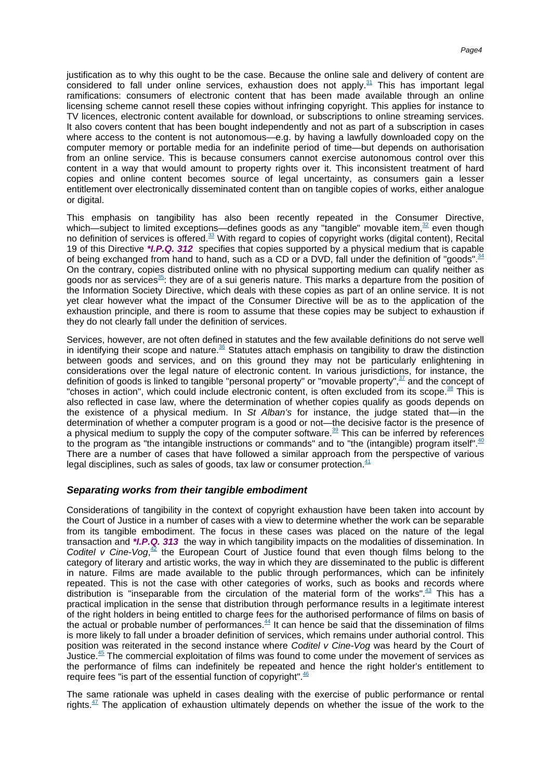<span id="page-4-0"></span>justification as to why this ought to be the case. Because the online sale and delivery of content are considered to fall under online services, exhaustion does not [apply.](#page-14-7) $31$  This has important legal ramifications: consumers of electronic content that has been made available through an online licensing scheme cannot resell these copies without infringing copyright. This applies for instance to TV licences, electronic content available for download, or subscriptions to online streaming services. It also covers content that has been bought independently and not as part of a subscription in cases where access to the content is not autonomous—e.g. by having a lawfully downloaded copy on the computer memory or portable media for an indefinite period of time—but depends on authorisation from an online service. This is because consumers cannot exercise autonomous control over this content in a way that would amount to property rights over it. This inconsistent treatment of hard copies and online content becomes source of legal uncertainty, as consumers gain a lesser entitlement over electronically disseminated content than on tangible copies of works, either analogue or digital.

<span id="page-4-4"></span><span id="page-4-3"></span><span id="page-4-2"></span><span id="page-4-1"></span>This emphasis on tangibility has also been recently repeated in the Consumer Directive, which—subject to limited exceptions—defines goods as any "tangible" movable [item,](#page-14-8) $32$  even though no definition of services is [offered.](#page-14-9)<sup>33</sup> With regard to copies of copyright works (digital content), Recital 19 of this Directive **\*I.P.Q. 312** specifies that copies supported by a physical medium that is capable of being exchanged from hand to hand, such as a CD or a DVD, fall under the definition of "goods"  $34$ On the contrary, copies distributed online with no physical supporting medium can qualify neither as goods nor as [services](#page-14-11)<sup>35</sup>; they are of a sui generis nature. This marks a departure from the position of the Information Society Directive, which deals with these copies as part of an online service. It is not yet clear however what the impact of the Consumer Directive will be as to the application of the exhaustion principle, and there is room to assume that these copies may be subject to exhaustion if they do not clearly fall under the definition of services.

<span id="page-4-7"></span><span id="page-4-6"></span><span id="page-4-5"></span>Services, however, are not often defined in statutes and the few available definitions do not serve well in identifying their scope and [nature.](#page-14-12) $36$  Statutes attach emphasis on tangibility to draw the distinction between goods and services, and on this ground they may not be particularly enlightening in considerations over the legal nature of electronic content. In various jurisdictions, for instance, the definition of goods is linked to tangible "personal property" or "movable [property",](#page-14-13)  $\frac{37}{2}$  and the concept of "choses in action", which could include electronic content, is often excluded from its [scope.](#page-14-14)<sup>38</sup> This is also reflected in case law, where the determination of whether copies qualify as goods depends on the existence of a physical medium. In St Alban's for instance, the judge stated that—in the determination of whether a computer program is a good or not—the decisive factor is the presence of a physical medium to supply the copy of the computer [software.](#page-14-15)<sup>39</sup> This can be inferred by references to the program as "the intangible instructions or commands" and to "the (intangible) program [itself".](#page-14-16)<sup>40</sup> There are a number of cases that have followed a similar approach from the perspective of various legal disciplines, such as sales of goods, tax law or consume[r protection.](#page-14-17) $41$ 

## <span id="page-4-10"></span><span id="page-4-9"></span><span id="page-4-8"></span>**Separating works from their tangible embodiment**

<span id="page-4-12"></span><span id="page-4-11"></span>Considerations of tangibility in the context of copyright exhaustion have been taken into account by the Court of Justice in a number of cases with a view to determine whether the work can be separable from its tangible embodiment. The focus in these cases was placed on the nature of the legal transaction and **\*I.P.Q. 313** the way in which tangibility impacts on the modalities of dissemination. In Coditel v Cine-Vog,<sup>42</sup> [the Euro](#page-15-0)pean Court of Justice found that even though films belong to the category of literary and artistic works, the way in which they are disseminated to the public is different in nature. Films are made available to the public through performances, which can be infinitely repeated. This is not the case with other categories of works, such as books and records where distribution is "inseparable from the circulation of the material form of the [works".](#page-15-1)<sup>43</sup> This has a practical implication in the sense that distribution through performance results in a legitimate interest of the right holders in being entitled to charge fees for the authorised performance of films on basis of the actual or probable number of [performances.](#page-15-2) $\frac{44}{1}$  It can hence be said that the dissemination of films is more likely to fall under a broader definition of services, which remains under authorial control. This position was reiterated in the second instance where Coditel v Cine-Vog was heard by the Court of [Justice.](#page-15-3)<sup>45</sup> The commercial exploitation of films was found to come under the movement of services as the performance of films can indefinitely be repeated and hence the right holder's entitlement to require fees "is part of the essential function of copyright" $46$ 

<span id="page-4-16"></span><span id="page-4-15"></span><span id="page-4-14"></span><span id="page-4-13"></span>The same rationale was upheld in cases dealing with the exercise of public performance or rental [rights.](#page-15-5) $47$  The application of exhaustion ultimately depends on whether the issue of the work to the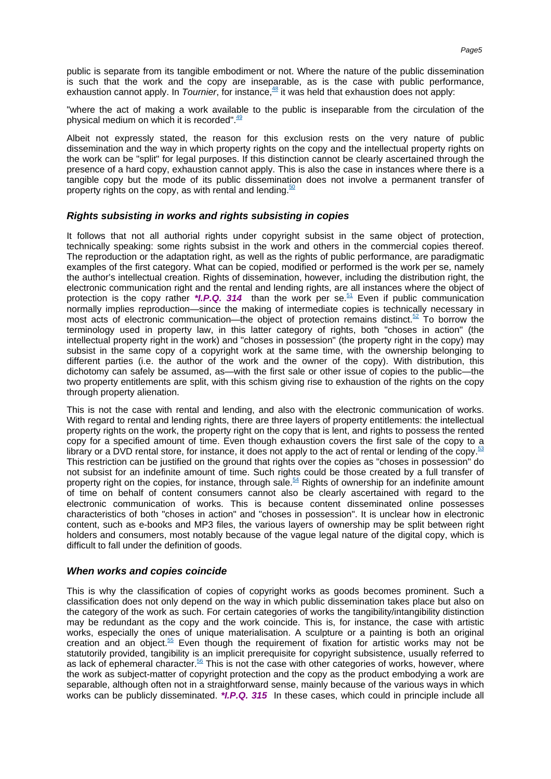<span id="page-5-0"></span>public is separate from its tangible embodiment or not. Where the nature of the public dissemination is such that the work and the copy are inseparable, as is the case with public performance, exhaustion cannot apply. In Tournier, for [instance,](#page-15-6)  $48$  it was held that exhaustion does not apply:

<span id="page-5-1"></span>"where the act of making a work available to the public is inseparable from the circulation of the physical medium on which it i[s recorded".](#page-15-7) $49$ 

Albeit not expressly stated, the reason for this exclusion rests on the very nature of public dissemination and the way in which property rights on the copy and the intellectual property rights on the work can be "split" for legal purposes. If this distinction cannot be clearly ascertained through the presence of a hard copy, exhaustion cannot apply. This is also the case in instances where there is a tangible copy but the mode of its public dissemination does not involve a permanent transfer of property rights on the copy, as with rental an[d lending.](#page-15-8) $50$ 

# <span id="page-5-2"></span>**Rights subsisting in works and rights subsisting in copies**

<span id="page-5-4"></span><span id="page-5-3"></span>It follows that not all authorial rights under copyright subsist in the same object of protection, technically speaking: some rights subsist in the work and others in the commercial copies thereof. The reproduction or the adaptation right, as well as the rights of public performance, are paradigmatic examples of the first category. What can be copied, modified or performed is the work per se, namely the author's intellectual creation. Rights of dissemination, however, including the distribution right, the electronic communication right and the rental and lending rights, are all instances where the object of protection is the copy rather \***I.P.Q. 314** than the work per [se.](#page-15-9)<sup>51</sup> Even if public communication normally implies reproduction—since the making of intermediate copies is technically necessary in most acts of electronic communication—the object of protection remains [distinct.](#page-15-10)<sup>52</sup> To borrow the terminology used in property law, in this latter category of rights, both "choses in action" (the intellectual property right in the work) and "choses in possession" (the property right in the copy) may subsist in the same copy of a copyright work at the same time, with the ownership belonging to different parties (i.e. the author of the work and the owner of the copy). With distribution, this dichotomy can safely be assumed, as—with the first sale or other issue of copies to the public—the two property entitlements are split, with this schism giving rise to exhaustion of the rights on the copy through property alienation.

<span id="page-5-6"></span><span id="page-5-5"></span>This is not the case with rental and lending, and also with the electronic communication of works. With regard to rental and lending rights, there are three layers of property entitlements: the intellectual property rights on the work, the property right on the copy that is lent, and rights to possess the rented copy for a specified amount of time. Even though exhaustion covers the first sale of the copy to a library or a DVD rental store, for instance, it does not apply to the act of rental or lending of th[e copy.](#page-15-11)<sup>5</sup> This restriction can be justified on the ground that rights over the copies as "choses in possession" do not subsist for an indefinite amount of time. Such rights could be those created by a full transfer of property right on the copies, for instance, through [sale.](#page-15-12)<sup>54</sup> Rights of ownership for an indefinite amount of time on behalf of content consumers cannot also be clearly ascertained with regard to the electronic communication of works. This is because content disseminated online possesses characteristics of both "choses in action" and "choses in possession". It is unclear how in electronic content, such as e-books and MP3 files, the various layers of ownership may be split between right holders and consumers, most notably because of the vague legal nature of the digital copy, which is difficult to fall under the definition of goods.

### **When works and copies coincide**

<span id="page-5-8"></span><span id="page-5-7"></span>This is why the classification of copies of copyright works as goods becomes prominent. Such a classification does not only depend on the way in which public dissemination takes place but also on the category of the work as such. For certain categories of works the tangibility/intangibility distinction may be redundant as the copy and the work coincide. This is, for instance, the case with artistic works, especially the ones of unique materialisation. A sculpture or a painting is both an original creation and an [object.](#page-15-13)<sup>55</sup> Even though the requirement of fixation for artistic works may not be statutorily provided, tangibility is an implicit prerequisite for copyright subsistence, usually referred to as lack of ephemera[l character.](#page-15-14)<sup>56</sup> This is not the case with other categories of works, however, where the work as subject-matter of copyright protection and the copy as the product embodying a work are separable, although often not in a straightforward sense, mainly because of the various ways in which works can be publicly disseminated. **\*I.P.Q. 315** In these cases, which could in principle include all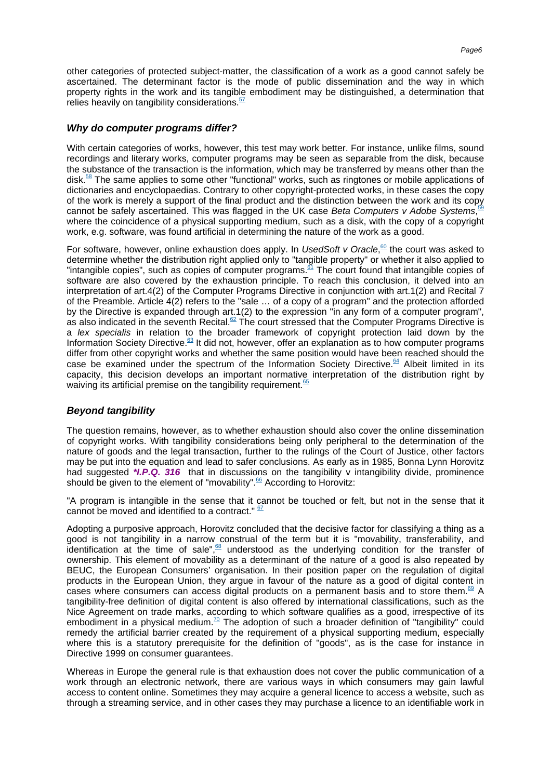<span id="page-6-0"></span>other categories of protected subject-matter, the classification of a work as a good cannot safely be ascertained. The determinant factor is the mode of public dissemination and the way in which property rights in the work and its tangible embodiment may be distinguished, a determination that relies heavily on tangibilit[y considerations.](#page-15-15) $57$ 

# **Why do computer programs differ?**

<span id="page-6-1"></span>With certain categories of works, however, this test may work better. For instance, unlike films, sound recordings and literary works, computer programs may be seen as separable from the disk, because the substance of the transaction is the information, which may be transferred by means other than the [disk.](#page-15-16)<sup>58</sup> The same applies to some other "functional" works, such as ringtones or mobile applications of dictionaries and encyclopaedias. Contrary to other copyright-protected works, in these cases the copy of the work is merely a support of the final product and the distinction between the work and its copy<br>connot be safely assortained. This was flagged in the UK case Rate Computers y Adeba Systems cannot be safely ascertained. This was flagged in the UK case Beta Computers v Adobe Systems[,](#page-15-17) where the coincidence of a physical supporting medium, such as a disk, with the copy of a copyright work, e.g. software, was found artificial in determining the nature of the work as a good.

<span id="page-6-5"></span><span id="page-6-4"></span><span id="page-6-3"></span><span id="page-6-2"></span>For software, however, online exhaustion does apply. In UsedSoft v Oracle,<sup>60</sup> [the cou](#page-15-18)rt was asked to determine whether the distribution right applied only to "tangible property" or whether it also applied to "intangible copies", such as copies of computer [programs.](#page-15-19)<sup>61</sup> The court found that intangible copies of software are also covered by the exhaustion principle. To reach this conclusion, it delved into an interpretation of art.4(2) of the Computer Programs Directive in conjunction with art.1(2) and Recital 7 of the Preamble. Article 4(2) refers to the "sale … of a copy of a program" and the protection afforded by the Directive is expanded through art.1(2) to the expression "in any form of a computer program", as also indicated in the sevent[h Recital.](#page-15-20) $62$  The court stressed that the Computer Programs Directive is a lex specialis in relation to the broader framework of copyright protection laid down by the Information Society [Directive.](#page-15-21)<sup>63</sup> It did not, however, offer an explanation as to how computer programs differ from other copyright works and whether the same position would have been reached should the case be examined under the spectrum of the Information Society [Directive.](#page-15-22)<sup>64</sup> Albeit limited in its capacity, this decision develops an important normative interpretation of the distribution right by waiving its artificial premise on the tangibilit[y requirement.](#page-15-23) $65$ 

# <span id="page-6-8"></span><span id="page-6-7"></span><span id="page-6-6"></span>**Beyond tangibility**

The question remains, however, as to whether exhaustion should also cover the online dissemination of copyright works. With tangibility considerations being only peripheral to the determination of the nature of goods and the legal transaction, further to the rulings of the Court of Justice, other factors may be put into the equation and lead to safer conclusions. As early as in 1985, Bonna Lynn Horovitz had suggested *\*I.P.Q.* 316 that in discussions on the tangibility v intangibility divide, prominence should be given to the element o[f "movability".](#page--1-2)<sup>66</sup> According to Horovitz:

<span id="page-6-10"></span><span id="page-6-9"></span>"A program is intangible in the sense that it cannot be touched or felt, but not in the sense that it cannot be moved and identified to a contract." [67](#page-16-0)

<span id="page-6-12"></span><span id="page-6-11"></span>Adopting a purposive approach, Horovitz concluded that the decisive factor for classifying a thing as a good is not tangibility in a narrow construal of the term but it is "movability, transferability, and identification at the time of [sale",](#page-16-1)  $68$  understood as the underlying condition for the transfer of ownership. This element of movability as a determinant of the nature of a good is also repeated by BEUC, the European Consumers' organisation. In their position paper on the regulation of digital products in the European Union, they argue in favour of the nature as a good of digital content in cases where consumers can access digital products on a permanent basis and to store [them.](#page-16-2)<sup>69</sup> A tangibility-free definition of digital content is also offered by international classifications, such as the Nice Agreement on trade marks, according to which software qualifies as a good, irrespective of its embodiment in a physical [medium.](#page-16-3)<sup>70</sup> The adoption of such a broader definition of "tangibility" could remedy the artificial barrier created by the requirement of a physical supporting medium, especially where this is a statutory prerequisite for the definition of "goods", as is the case for instance in Directive 1999 on consumer guarantees.

<span id="page-6-13"></span>Whereas in Europe the general rule is that exhaustion does not cover the public communication of a work through an electronic network, there are various ways in which consumers may gain lawful access to content online. Sometimes they may acquire a general licence to access a website, such as through a streaming service, and in other cases they may purchase a licence to an identifiable work in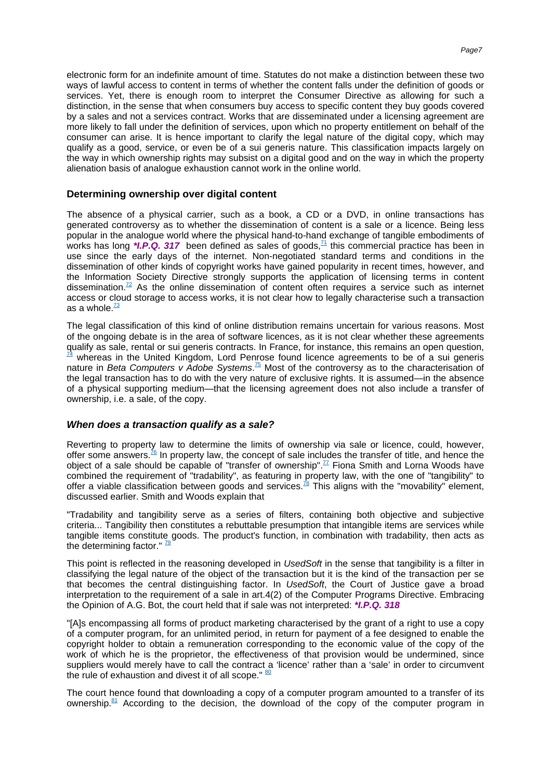electronic form for an indefinite amount of time. Statutes do not make a distinction between these two ways of lawful access to content in terms of whether the content falls under the definition of goods or services. Yet, there is enough room to interpret the Consumer Directive as allowing for such a distinction, in the sense that when consumers buy access to specific content they buy goods covered by a sales and not a services contract. Works that are disseminated under a licensing agreement are more likely to fall under the definition of services, upon which no property entitlement on behalf of the consumer can arise. It is hence important to clarify the legal nature of the digital copy, which may qualify as a good, service, or even be of a sui generis nature. This classification impacts largely on the way in which ownership rights may subsist on a digital good and on the way in which the property alienation basis of analogue exhaustion cannot work in the online world.

### **Determining ownership over digital content**

<span id="page-7-0"></span>The absence of a physical carrier, such as a book, a CD or a DVD, in online transactions has generated controversy as to whether the dissemination of content is a sale or a licence. Being less popular in the analogue world where the physical hand-to-hand exchange of tangible embodiments of works has long \**I.P.Q.* 317 been defined as sales of [goods,](#page-16-4) $\frac{71}{1}$  this commercial practice has been in use since the early days of the internet. Non-negotiated standard terms and conditions in the dissemination of other kinds of copyright works have gained popularity in recent times, however, and the Information Society Directive strongly supports the application of licensing terms in content [dissemination.](#page-16-5)<sup>72</sup> As the online dissemination of content often requires a service such as internet access or cloud storage to access works, it is not clear how to legally characterise such a transaction as a [whole.](#page-16-6) $\frac{73}{2}$ 

<span id="page-7-4"></span><span id="page-7-3"></span><span id="page-7-2"></span><span id="page-7-1"></span>The legal classification of this kind of online distribution remains uncertain for various reasons. Most of the ongoing debate is in the area of software licences, as it is not clear whether these agreements qualify as sale, rental or sui generis contracts. In France, for instance, this remains an ope[n question,](#page-16-7) whereas in the United Kingdom, Lord Penrose found licence agreements to be of a sui generis nature in Beta Computers v Adobe Systems.<sup>75</sup> [Most of t](#page-16-8)he controversy as to the characterisation of the legal transaction has to do with the very nature of exclusive rights. It is assumed—in the absence of a physical supporting medium—that the licensing agreement does not also include a transfer of ownership, i.e. a sale, of the copy.

#### **When does a transaction qualify as a sale?**

<span id="page-7-6"></span><span id="page-7-5"></span>Reverting to property law to determine the limits of ownership via sale or licence, could, however, offer some [answers.](#page-16-9) $^{76}$  In property law, the concept of sale includes the transfer of title, and hence the object of a sale should be capable of "transfer of [ownership".](#page-16-10)<sup>77</sup> Fiona Smith and Lorna Woods have combined the requirement of "tradability", as featuring in property law, with the one of "tangibility" to offer a viable classification between goods and [services.](#page-16-11)<sup>78</sup> This aligns with the "movability" element, discussed earlier. Smith and Woods explain that

<span id="page-7-7"></span>"Tradability and tangibility serve as a series of filters, containing both objective and subjective criteria... Tangibility then constitutes a rebuttable presumption that intangible items are services while tangible items constitute goods. The product's function, in combination with tradability, then acts as the determining factor."  $\frac{7}{2}$ 

<span id="page-7-8"></span>This point is reflected in the reasoning developed in UsedSoft in the sense that tangibility is a filter in classifying the legal nature of the object of the transaction but it is the kind of the transaction per se that becomes the central distinguishing factor. In UsedSoft, the Court of Justice gave a broad interpretation to the requirement of a sale in art.4(2) of the Computer Programs Directive. Embracing the Opinion of A.G. Bot, the court held that if sale was not interpreted: **\*I.P.Q. 318**

"[A]s encompassing all forms of product marketing characterised by the grant of a right to use a copy of a computer program, for an unlimited period, in return for payment of a fee designed to enable the copyright holder to obtain a remuneration corresponding to the economic value of the copy of the work of which he is the proprietor, the effectiveness of that provision would be undermined, since suppliers would merely have to call the contract a 'licence' rather than a 'sale' in order to circumvent the rule of exhaustion and divest it of all scope."  $80$ 

<span id="page-7-10"></span><span id="page-7-9"></span>The court hence found that downloading a copy of a computer program amounted to a transfer of its [ownership.](#page-16-14) $81$  According to the decision, the download of the copy of the computer program in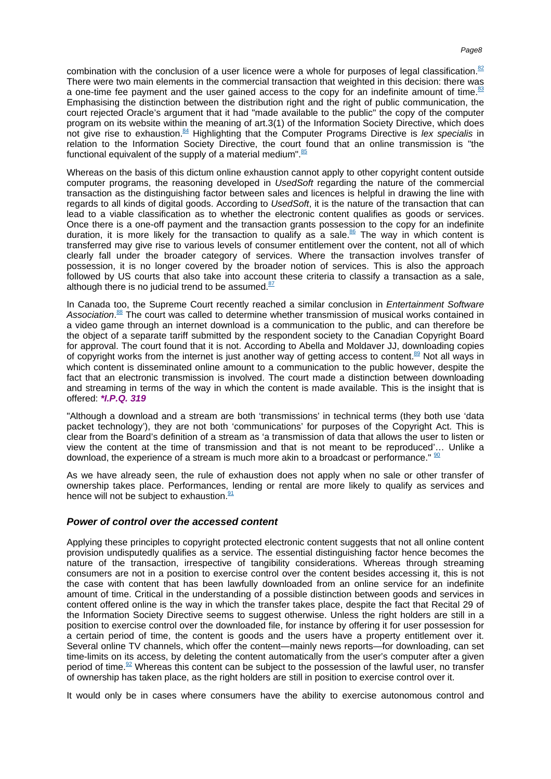<span id="page-8-1"></span><span id="page-8-0"></span>combination with the conclusion of a user licence were a whole for purposes of legal [classification.](#page-16-15)<sup>82</sup> There were two main elements in the commercial transaction that weighted in this decision: there was a one-time fee payment and the user gained access to the copy for an indefinite amount of [time.](#page-16-16) $83$ Emphasising the distinction between the distribution right and the right of public communication, the court rejected Oracle's argument that it had "made available to the public" the copy of the computer program on its website within the meaning of art.3(1) of the Information Society Directive, which does not give rise to [exhaustion.](#page-16-17)<sup>84</sup> Highlighting that the Computer Programs Directive is lex specialis in relation to the Information Society Directive, the court found that an online transmission is "the functional equivalent of the supply of a materia[l medium".](#page-16-18) 85

<span id="page-8-4"></span><span id="page-8-3"></span><span id="page-8-2"></span>Whereas on the basis of this dictum online exhaustion cannot apply to other copyright content outside computer programs, the reasoning developed in UsedSoft regarding the nature of the commercial transaction as the distinguishing factor between sales and licences is helpful in drawing the line with regards to all kinds of digital goods. According to UsedSoft, it is the nature of the transaction that can lead to a viable classification as to whether the electronic content qualifies as goods or services. Once there is a one-off payment and the transaction grants possession to the copy for an indefinite duration, it is more likely for the transaction to qualify as a [sale.](#page-16-19) $86$  The way in which content is transferred may give rise to various levels of consumer entitlement over the content, not all of which clearly fall under the broader category of services. Where the transaction involves transfer of possession, it is no longer covered by the broader notion of services. This is also the approach followed by US courts that also take into account these criteria to classify a transaction as a sale, although there is no judicial trend to be [assumed.](#page-16-20) $87$ 

<span id="page-8-7"></span><span id="page-8-6"></span><span id="page-8-5"></span>In Canada too, the Supreme Court recently reached a similar conclusion in Entertainment Software Association.<sup>88</sup> [The court w](#page-16-21)as called to determine whether transmission of musical works contained in a video game through an internet download is a communication to the public, and can therefore be the object of a separate tariff submitted by the respondent society to the Canadian Copyright Board for approval. The court found that it is not. According to Abella and Moldaver JJ, downloading copies of copyright works from the internet is just another way of getting access to [content.](#page-16-22)<sup>89</sup> Not all ways in which content is disseminated online amount to a communication to the public however, despite the fact that an electronic transmission is involved. The court made a distinction between downloading and streaming in terms of the way in which the content is made available. This is the insight that is offered: **\*I.P.Q. 319**

"Although a download and a stream are both 'transmissions' in technical terms (they both use 'data packet technology'), they are not both 'communications' for purposes of the Copyright Act. This is clear from the Board's definition of a stream as 'a transmission of data that allows the user to listen or view the content at the time of transmission and that is not meant to be reproduced'… Unlike a download, the experience of a stream is much more akin to a broadcast or performance."  $\frac{1}{2}$ 

<span id="page-8-9"></span><span id="page-8-8"></span>As we have already seen, the rule of exhaustion does not apply when no sale or other transfer of ownership takes place. Performances, lending or rental are more likely to qualify as services and hence will not be subject t[o exhaustion.](#page-17-1)<sup>91</sup>

### **Power of control over the accessed content**

Applying these principles to copyright protected electronic content suggests that not all online content provision undisputedly qualifies as a service. The essential distinguishing factor hence becomes the nature of the transaction, irrespective of tangibility considerations. Whereas through streaming consumers are not in a position to exercise control over the content besides accessing it, this is not the case with content that has been lawfully downloaded from an online service for an indefinite amount of time. Critical in the understanding of a possible distinction between goods and services in content offered online is the way in which the transfer takes place, despite the fact that Recital 29 of the Information Society Directive seems to suggest otherwise. Unless the right holders are still in a position to exercise control over the downloaded file, for instance by offering it for user possession for a certain period of time, the content is goods and the users have a property entitlement over it. Several online TV channels, which offer the content—mainly news reports—for downloading, can set time-limits on its access, by deleting the content automatically from the user's computer after a given period o[f time.](#page-17-2)<sup>92</sup> Whereas this content can be subject to the possession of the lawful user, no transfer of ownership has taken place, as the right holders are still in position to exercise control over it.

<span id="page-8-10"></span>It would only be in cases where consumers have the ability to exercise autonomous control and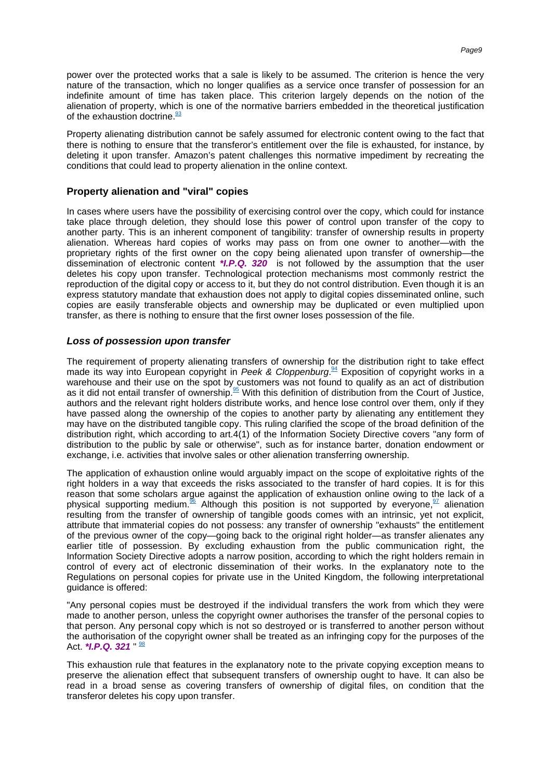power over the protected works that a sale is likely to be assumed. The criterion is hence the very nature of the transaction, which no longer qualifies as a service once transfer of possession for an indefinite amount of time has taken place. This criterion largely depends on the notion of the alienation of property, which is one of the normative barriers embedded in the theoretical justification of the exhaustio[n doctrine.](#page-17-3)<sup>93</sup>

<span id="page-9-0"></span>Property alienating distribution cannot be safely assumed for electronic content owing to the fact that there is nothing to ensure that the transferor's entitlement over the file is exhausted, for instance, by deleting it upon transfer. Amazon's patent challenges this normative impediment by recreating the conditions that could lead to property alienation in the online context.

# **Property alienation and "viral" copies**

In cases where users have the possibility of exercising control over the copy, which could for instance take place through deletion, they should lose this power of control upon transfer of the copy to another party. This is an inherent component of tangibility: transfer of ownership results in property alienation. Whereas hard copies of works may pass on from one owner to another—with the proprietary rights of the first owner on the copy being alienated upon transfer of ownership—the dissemination of electronic content **\*I.P.Q. 320** is not followed by the assumption that the user deletes his copy upon transfer. Technological protection mechanisms most commonly restrict the reproduction of the digital copy or access to it, but they do not control distribution. Even though it is an express statutory mandate that exhaustion does not apply to digital copies disseminated online, such copies are easily transferable objects and ownership may be duplicated or even multiplied upon transfer, as there is nothing to ensure that the first owner loses possession of the file.

# **Loss of possession upon transfer**

<span id="page-9-2"></span><span id="page-9-1"></span>The requirement of property alienating transfers of ownership for the distribution right to take effect made its way into European copyright in Peek & Cloppenburg.<sup>94</sup> [Exposition o](#page-17-4)f copyright works in a warehouse and their use on the spot by customers was not found to qualify as an act of distribution as it did not entail transfer of [ownership.](#page-17-5)<sup>95</sup> With this definition of distribution from the Court of Justice, authors and the relevant right holders distribute works, and hence lose control over them, only if they have passed along the ownership of the copies to another party by alienating any entitlement they may have on the distributed tangible copy. This ruling clarified the scope of the broad definition of the distribution right, which according to art.4(1) of the Information Society Directive covers "any form of distribution to the public by sale or otherwise", such as for instance barter, donation endowment or exchange, i.e. activities that involve sales or other alienation transferring ownership.

<span id="page-9-3"></span>The application of exhaustion online would arguably impact on the scope of exploitative rights of the right holders in a way that exceeds the risks associated to the transfer of hard copies. It is for this reason that some scholars argue against the application of exhaustion online owing to the lack of a physical supporting [medium.](#page-17-6)<sup>96</sup> Although this position is not supported by [everyone,](#page-17-7)  $\frac{97}{2}$  alienation resulting from the transfer of ownership of tangible goods comes with an intrinsic, yet not explicit, attribute that immaterial copies do not possess: any transfer of ownership "exhausts" the entitlement of the previous owner of the copy—going back to the original right holder—as transfer alienates any earlier title of possession. By excluding exhaustion from the public communication right, the Information Society Directive adopts a narrow position, according to which the right holders remain in control of every act of electronic dissemination of their works. In the explanatory note to the Regulations on personal copies for private use in the United Kingdom, the following interpretational guidance is offered:

"Any personal copies must be destroyed if the individual transfers the work from which they were made to another person, unless the copyright owner authorises the transfer of the personal copies to that person. Any personal copy which is not so destroyed or is transferred to another person without the authorisation of the copyright owner shall be treated as an infringing copy for the purposes of the Act. **\*I.P.Q. 321** " [98](#page-17-8)

<span id="page-9-4"></span>This exhaustion rule that features in the explanatory note to the private copying exception means to preserve the alienation effect that subsequent transfers of ownership ought to have. It can also be read in a broad sense as covering transfers of ownership of digital files, on condition that the transferor deletes his copy upon transfer.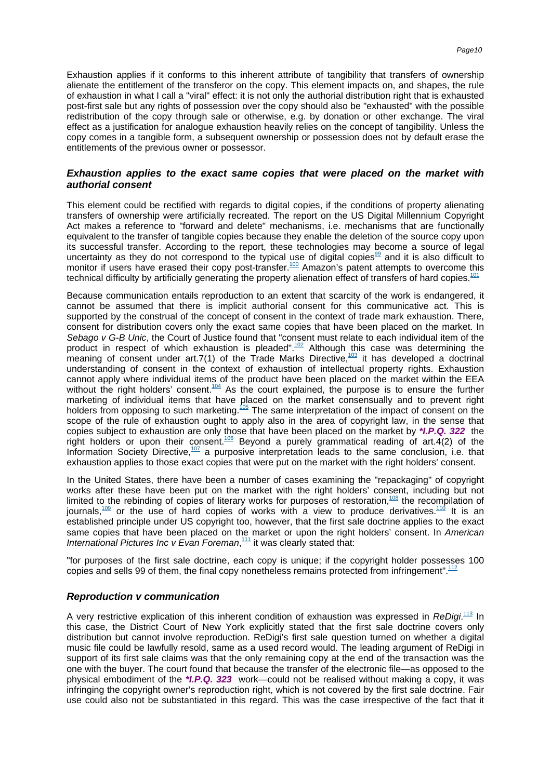Exhaustion applies if it conforms to this inherent attribute of tangibility that transfers of ownership alienate the entitlement of the transferor on the copy. This element impacts on, and shapes, the rule of exhaustion in what I call a "viral" effect: it is not only the authorial distribution right that is exhausted post-first sale but any rights of possession over the copy should also be "exhausted" with the possible redistribution of the copy through sale or otherwise, e.g. by donation or other exchange. The viral effect as a justification for analogue exhaustion heavily relies on the concept of tangibility. Unless the copy comes in a tangible form, a subsequent ownership or possession does not by default erase the entitlements of the previous owner or possessor.

# **Exhaustion applies to the exact same copies that were placed on the market with authorial consent**

This element could be rectified with regards to digital copies, if the conditions of property alienating transfers of ownership were artificially recreated. The report on the US Digital Millennium Copyright Act makes a reference to "forward and delete" mechanisms, i.e. mechanisms that are functionally equivalent to the transfer of tangible copies because they enable the deletion of the source copy upon its successful transfer. According to the report, these technologies may become a source of legal uncertainty as they do not correspond to the typical use of digital [copies](#page-17-9)<sup>99</sup> and it is also difficult to monitor if users have erased their copy [post-transfer.](#page-17-10)<sup>100</sup> Amazon's patent attempts to overcome this technical difficulty by artificially generating the property alienation effect of transfers of har[d copies.](#page-17-11)<sup>101</sup>

<span id="page-10-5"></span><span id="page-10-4"></span><span id="page-10-3"></span><span id="page-10-2"></span><span id="page-10-1"></span><span id="page-10-0"></span>Because communication entails reproduction to an extent that scarcity of the work is endangered, it cannot be assumed that there is implicit authorial consent for this communicative act. This is supported by the construal of the concept of consent in the context of trade mark exhaustion. There, consent for distribution covers only the exact same copies that have been placed on the market. In Sebago v G-B Unic, the Court of Justice found that "consent must relate to each individual item of the product in respect of which exhaustion is [pleaded".](#page-17-12)<sup>102</sup> Although this case was determining the meaning of consent under art.7(1) of the Trade Marks [Directive,](#page-17-13)<sup>103</sup> it has developed a doctrinal understanding of consent in the context of exhaustion of intellectual property rights. Exhaustion cannot apply where individual items of the product have been placed on the market within the EEA without the right holders' [consent.](#page-17-14)<sup>104</sup> As the court explained, the purpose is to ensure the further marketing of individual items that have placed on the market consensually and to prevent right holders from opposing to such [marketing.](#page-17-15)<sup>105</sup> The same interpretation of the impact of consent on the scope of the rule of exhaustion ought to apply also in the area of copyright law, in the sense that copies subject to exhaustion are only those that have been placed on the market by **\*I.P.Q. 322** the right holders or upon their [consent.](#page-17-16)<sup>106</sup> Beyond a purely grammatical reading of art.4(2) of the Information Society [Directive,](#page--1-3) $107$  a purposive interpretation leads to the same conclusion, i.e. that exhaustion applies to those exact copies that were put on the market with the right holders' consent.

<span id="page-10-10"></span><span id="page-10-9"></span><span id="page-10-8"></span><span id="page-10-7"></span><span id="page-10-6"></span>In the United States, there have been a number of cases examining the "repackaging" of copyright works after these have been put on the market with the right holders' consent, including but not limited to the rebinding of copies of literary works for purposes of [restoration,](#page-18-0)<sup>108</sup> the recompilation of [journals,](#page-18-1)  $\frac{109}{100}$  or the use of hard copies of works with a view to produce [derivatives.](#page-18-2) <sup>110</sup> It is an established principle under US copyright too, however, that the first sale doctrine applies to the exact same copies that have been placed on the market or upon the right holders' consent. In American International Pictures Inc v Evan Foreman, $111$  [it was cle](#page-18-3)arly stated that:

<span id="page-10-12"></span><span id="page-10-11"></span>"for purposes of the first sale doctrine, each copy is unique; if the copyright holder possesses 100 copies and sells 99 of them, the final copy nonetheless remains protected from [infringement".](#page-18-4)<sup>112</sup>

#### **Reproduction v communication**

<span id="page-10-13"></span>A very restrictive explication of this inherent condition of exhaustion was expressed in ReDigi.<sup>113</sup> [In](#page-18-5) this case, the District Court of New York explicitly stated that the first sale doctrine covers only distribution but cannot involve reproduction. ReDigi's first sale question turned on whether a digital music file could be lawfully resold, same as a used record would. The leading argument of ReDigi in support of its first sale claims was that the only remaining copy at the end of the transaction was the one with the buyer. The court found that because the transfer of the electronic file—as opposed to the physical embodiment of the **\*I.P.Q. 323** work—could not be realised without making a copy, it was infringing the copyright owner's reproduction right, which is not covered by the first sale doctrine. Fair use could also not be substantiated in this regard. This was the case irrespective of the fact that it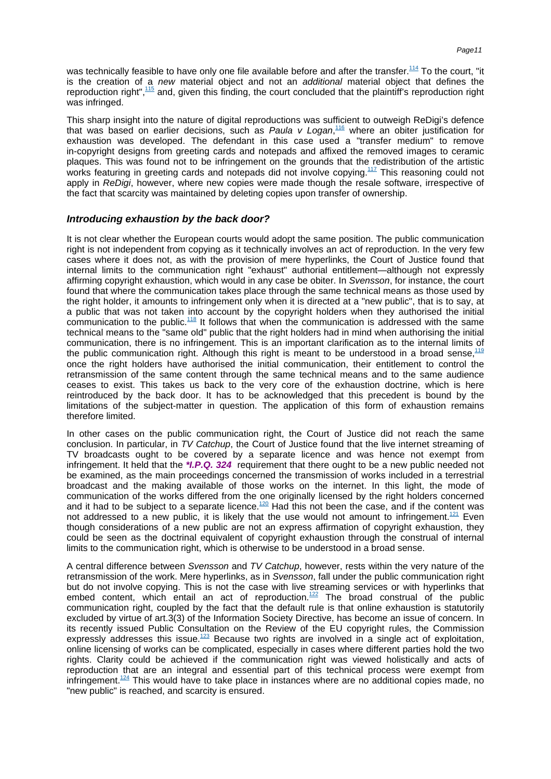<span id="page-11-1"></span><span id="page-11-0"></span>was technically feasible to have only one file available before and after th[e transfer.](#page-18-6)<sup>114</sup> To the court. "it is the creation of a new material object and not an *additional* material object that defines the reproduction [right",](#page-18-7)<sup>115</sup> and, given this finding, the court concluded that the plaintiff's reproduction right was infringed.

<span id="page-11-3"></span><span id="page-11-2"></span>This sharp insight into the nature of digital reproductions was sufficient to outweigh ReDigi's defence that was based on earlier decisions, such as Paula v Logan, 116 [where](#page-18-8) an obiter justification for exhaustion was developed. The defendant in this case used a "transfer medium" to remove in-copyright designs from greeting cards and notepads and affixed the removed images to ceramic plaques. This was found not to be infringement on the grounds that the redistribution of the artistic works featuring in greeting cards and notepads did not involve [copying.](#page-18-9)<sup>117</sup> This reasoning could not apply in ReDigi, however, where new copies were made though the resale software, irrespective of the fact that scarcity was maintained by deleting copies upon transfer of ownership.

# **Introducing exhaustion by the back door?**

<span id="page-11-4"></span>It is not clear whether the European courts would adopt the same position. The public communication right is not independent from copying as it technically involves an act of reproduction. In the very few cases where it does not, as with the provision of mere hyperlinks, the Court of Justice found that internal limits to the communication right "exhaust" authorial entitlement—although not expressly affirming copyright exhaustion, which would in any case be obiter. In Svensson, for instance, the court found that where the communication takes place through the same technical means as those used by the right holder, it amounts to infringement only when it is directed at a "new public", that is to say, at a public that was not taken into account by the copyright holders when they authorised the initial communication to the [public.](#page-18-10) $118$  It follows that when the communication is addressed with the same technical means to the "same old" public that the right holders had in mind when authorising the initial communication, there is no infringement. This is an important clarification as to the internal limits of the public communication right. Although this right is meant to be understood in a broad sense.<sup>119</sup> once the right holders have authorised the initial communication, their entitlement to control the retransmission of the same content through the same technical means and to the same audience ceases to exist. This takes us back to the very core of the exhaustion doctrine, which is here reintroduced by the back door. It has to be acknowledged that this precedent is bound by the limitations of the subject-matter in question. The application of this form of exhaustion remains therefore limited.

<span id="page-11-5"></span>In other cases on the public communication right, the Court of Justice did not reach the same conclusion. In particular, in TV Catchup, the Court of Justice found that the live internet streaming of TV broadcasts ought to be covered by a separate licence and was hence not exempt from infringement. It held that the **\*I.P.Q. 324** requirement that there ought to be a new public needed not be examined, as the main proceedings concerned the transmission of works included in a terrestrial broadcast and the making available of those works on the internet. In this light, the mode of communication of the works differed from the one originally licensed by the right holders concerned and it had to be subject to a separate [licence.](#page-18-12)<sup>120</sup> Had this not been the case, and if the content was not addressed to a new public, it is likely that the use would not amount to [infringement.](#page-18-13)<sup>121</sup> Even though considerations of a new public are not an express affirmation of copyright exhaustion, they could be seen as the doctrinal equivalent of copyright exhaustion through the construal of internal limits to the communication right, which is otherwise to be understood in a broad sense.

<span id="page-11-10"></span><span id="page-11-9"></span><span id="page-11-8"></span><span id="page-11-7"></span><span id="page-11-6"></span>A central difference between Svensson and TV Catchup, however, rests within the very nature of the retransmission of the work. Mere hyperlinks, as in Svensson, fall under the public communication right but do not involve copying. This is not the case with live streaming services or with hyperlinks that embed content, which entail an act of [reproduction.](#page-18-14)<sup>122</sup> The broad construal of the public communication right, coupled by the fact that the default rule is that online exhaustion is statutorily excluded by virtue of art.3(3) of the Information Society Directive, has become an issue of concern. In its recently issued Public Consultation on the Review of the EU copyright rules, the Commission expressly addresses this [issue.](#page--1-4)<sup>123</sup> Because two rights are involved in a single act of exploitation, online licensing of works can be complicated, especially in cases where different parties hold the two rights. Clarity could be achieved if the communication right was viewed holistically and acts of reproduction that are an integral and essential part of this technical process were exempt from [infringement.](#page-19-0) $124$  This would have to take place in instances where are no additional copies made, no "new public" is reached, and scarcity is ensured.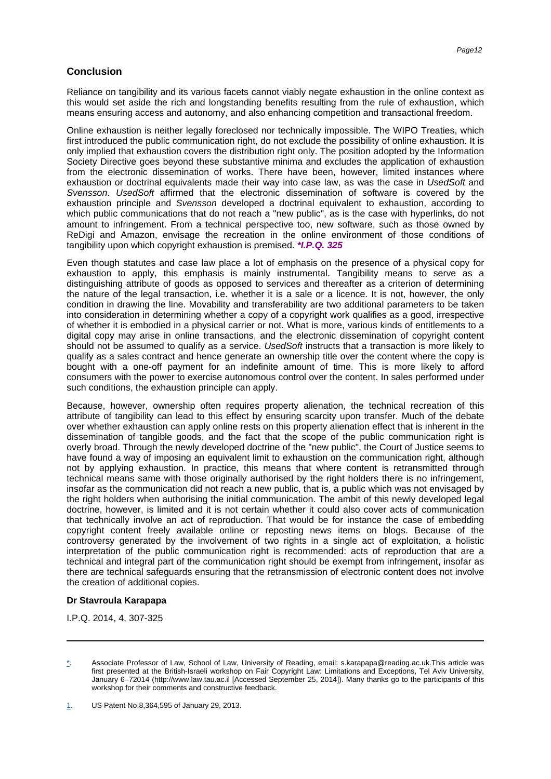# **Conclusion**

Reliance on tangibility and its various facets cannot viably negate exhaustion in the online context as this would set aside the rich and longstanding benefits resulting from the rule of exhaustion, which means ensuring access and autonomy, and also enhancing competition and transactional freedom.

Online exhaustion is neither legally foreclosed nor technically impossible. The WIPO Treaties, which first introduced the public communication right, do not exclude the possibility of online exhaustion. It is only implied that exhaustion covers the distribution right only. The position adopted by the Information Society Directive goes beyond these substantive minima and excludes the application of exhaustion from the electronic dissemination of works. There have been, however, limited instances where exhaustion or doctrinal equivalents made their way into case law, as was the case in UsedSoft and Svensson. UsedSoft affirmed that the electronic dissemination of software is covered by the exhaustion principle and Svensson developed a doctrinal equivalent to exhaustion, according to which public communications that do not reach a "new public", as is the case with hyperlinks, do not amount to infringement. From a technical perspective too, new software, such as those owned by ReDigi and Amazon, envisage the recreation in the online environment of those conditions of tangibility upon which copyright exhaustion is premised. **\*I.P.Q. 325**

Even though statutes and case law place a lot of emphasis on the presence of a physical copy for exhaustion to apply, this emphasis is mainly instrumental. Tangibility means to serve as a distinguishing attribute of goods as opposed to services and thereafter as a criterion of determining the nature of the legal transaction, i.e. whether it is a sale or a licence. It is not, however, the only condition in drawing the line. Movability and transferability are two additional parameters to be taken into consideration in determining whether a copy of a copyright work qualifies as a good, irrespective of whether it is embodied in a physical carrier or not. What is more, various kinds of entitlements to a digital copy may arise in online transactions, and the electronic dissemination of copyright content should not be assumed to qualify as a service. UsedSoft instructs that a transaction is more likely to qualify as a sales contract and hence generate an ownership title over the content where the copy is bought with a one-off payment for an indefinite amount of time. This is more likely to afford consumers with the power to exercise autonomous control over the content. In sales performed under such conditions, the exhaustion principle can apply.

Because, however, ownership often requires property alienation, the technical recreation of this attribute of tangibility can lead to this effect by ensuring scarcity upon transfer. Much of the debate over whether exhaustion can apply online rests on this property alienation effect that is inherent in the dissemination of tangible goods, and the fact that the scope of the public communication right is overly broad. Through the newly developed doctrine of the "new public", the Court of Justice seems to have found a way of imposing an equivalent limit to exhaustion on the communication right, although not by applying exhaustion. In practice, this means that where content is retransmitted through technical means same with those originally authorised by the right holders there is no infringement, insofar as the communication did not reach a new public, that is, a public which was not envisaged by the right holders when authorising the initial communication. The ambit of this newly developed legal doctrine, however, is limited and it is not certain whether it could also cover acts of communication that technically involve an act of reproduction. That would be for instance the case of embedding copyright content freely available online or reposting news items on blogs. Because of the controversy generated by the involvement of two rights in a single act of exploitation, a holistic interpretation of the public communication right is recommended: acts of reproduction that are a technical and integral part of the communication right should be exempt from infringement, insofar as there are technical safeguards ensuring that the retransmission of electronic content does not involve the creation of additional copies.

### **Dr Stavroula Karapapa**

I.P.Q. 2014, 4, 307-325

<span id="page-12-0"></span>Associate Professor of Law, School of Law, University of Reading, email: s.karapapa@reading.ac.uk.This article was first presented at the British-Israeli workshop on Fair Copyright Law: Limitations and Exceptions, Tel Aviv University, January 6–72014 (http://www.law.tau.ac.il [Accessed September 25, 2014]). Many thanks go to the participants of this workshop for their comments and constructive feedback.

<span id="page-12-1"></span>[<sup>1</sup>](#page-1-1). US Patent No.8,364,595 of January 29, 2013.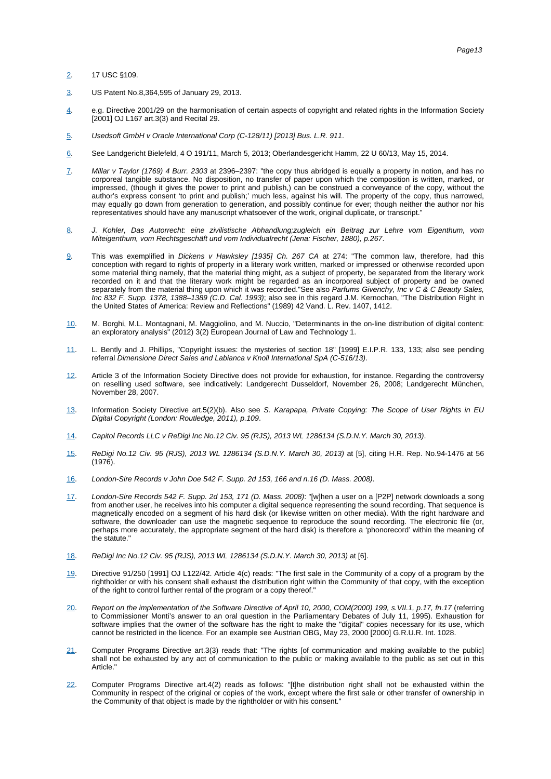#### [2](#page-1-2). 17 USC §109.

- <span id="page-13-0"></span>[3](#page-1-3). US Patent No.8,364,595 of January 29, 2013.
- <span id="page-13-1"></span>[4](#page-1-4). e.g. Directive 2001/29 on the harmonisation of certain aspects of copyright and related rights in the Information Society [2001] OJ L167 art.3(3) and Recital 29.
- <span id="page-13-2"></span>[5](#page-1-5). Usedsoft GmbH v Oracle International Corp (C-128/11) [2013] Bus. L.R. 911.
- <span id="page-13-3"></span>[6](#page-2-0). See Landgericht Bielefeld, 4 O 191/11, March 5, 2013; Oberlandesgericht Hamm, 22 U 60/13, May 15, 2014.
- <span id="page-13-4"></span>[7](#page-2-1). Millar v Taylor (1769) 4 Burr. 2303 at 2396-2397: "the copy thus abridged is equally a property in notion, and has no corporeal tangible substance. No disposition, no transfer of paper upon which the composition is written, marked, or impressed, (though it gives the power to print and publish,) can be construed a conveyance of the copy, without the author's express consent 'to print and publish;' much less, against his will. The property of the copy, thus narrowed, may equally go down from generation to generation, and possibly continue for ever; though neither the author nor his representatives should have any manuscript whatsoever of the work, original duplicate, or transcript."
- <span id="page-13-5"></span>[8](#page-2-2). J. Kohler, Das Autorrecht: eine zivilistische Abhandlung;zugleich ein Beitrag zur Lehre vom Eigenthum, vom Miteigenthum, vom Rechtsgeschäft und vom Individualrecht (Jena: Fischer, 1880), p.267.
- <span id="page-13-6"></span>[9](#page-2-2). This was exemplified in Dickens v Hawksley [1935] Ch. 267 CA at 274: "The common law, therefore, had this conception with regard to rights of property in a literary work written, marked or impressed or otherwise recorded upon some material thing namely, that the material thing might, as a subject of property, be separated from the literary work recorded on it and that the literary work might be regarded as an incorporeal subject of property and be owned separately from the material thing upon which it was recorded."See also Parfums Givenchy, Inc v C & C Beauty Sales, Inc 832 F. Supp. 1378, 1388-1389 (C.D. Cal. 1993); also see in this regard J.M. Kernochan, "The Distribution Right in the United States of America: Review and Reflections" (1989) 42 Vand. L. Rev. 1407, 1412.
- <span id="page-13-7"></span>[10.](#page-2-3) M. Borghi, M.L. Montagnani, M. Maggiolino, and M. Nuccio, "Determinants in the on-line distribution of digital content: an exploratory analysis" (2012) 3(2) European Journal of Law and Technology 1.
- <span id="page-13-8"></span>[11.](#page-2-4) L. Bently and J. Phillips, "Copyright issues: the mysteries of section 18" [1999] E.I.P.R. 133, 133; also see pending referral Dimensione Direct Sales and Labianca v Knoll International SpA (C-516/13).
- <span id="page-13-9"></span>[12.](#page-2-5) Article 3 of the Information Society Directive does not provide for exhaustion, for instance. Regarding the controversy on reselling used software, see indicatively: Landgerecht Dusseldorf, November 26, 2008; Landgerecht München, November 28, 2007.
- <span id="page-13-10"></span>[13.](#page-2-6) Information Society Directive art.5(2)(b). Also see S. Karapapa, Private Copying: The Scope of User Rights in EU Digital Copyright (London: Routledge, 2011), p.109.
- <span id="page-13-11"></span>[14.](#page-2-7) Capitol Records LLC v ReDigi Inc No.12 Civ. 95 (RJS), 2013 WL 1286134 (S.D.N.Y. March 30, 2013).
- <span id="page-13-12"></span>[15.](#page-2-8) ReDigi No.12 Civ. 95 (RJS), 2013 WL 1286134 (S.D.N.Y. March 30, 2013) at [5], citing H.R. Rep. No.94-1476 at 56 (1976).
- <span id="page-13-13"></span>[16.](#page-2-9) London-Sire Records v John Doe 542 F. Supp. 2d 153, 166 and n.16 (D. Mass. 2008).
- <span id="page-13-14"></span>[17.](#page-3-0) London-Sire Records 542 F. Supp. 2d 153, 171 (D. Mass. 2008): "[w]hen a user on a [P2P] network downloads a song from another user, he receives into his computer a digital sequence representing the sound recording. That sequence is magnetically encoded on a segment of his hard disk (or likewise written on other media). With the right hardware and software, the downloader can use the magnetic sequence to reproduce the sound recording. The electronic file (or, perhaps more accurately, the appropriate segment of the hard disk) is therefore a 'phonorecord' within the meaning of the statute."
- <span id="page-13-15"></span>[18.](#page-3-1) ReDigi Inc No.12 Civ. 95 (RJS), 2013 WL 1286134 (S.D.N.Y. March 30, 2013) at [6].
- <span id="page-13-16"></span>[19.](#page-3-2) Directive 91/250 [1991] OJ L122/42. Article 4(c) reads: "The first sale in the Community of a copy of a program by the rightholder or with his consent shall exhaust the distribution right within the Community of that copy, with the exception of the right to control further rental of the program or a copy thereof."
- <span id="page-13-17"></span>[20.](#page-3-3) Report on the implementation of the Software Directive of April 10, 2000, COM(2000) 199, s.VII.1, p.17, fn.17 (referring to Commissioner Monti's answer to an oral question in the Parliamentary Debates of July 11, 1995). Exhaustion for software implies that the owner of the software has the right to make the "digital" copies necessary for its use, which cannot be restricted in the licence. For an example see Austrian OBG, May 23, 2000 [2000] G.R.U.R. Int. 1028.
- <span id="page-13-18"></span>[21.](#page-3-4) Computer Programs Directive art.3(3) reads that: "The rights [of communication and making available to the public] shall not be exhausted by any act of communication to the public or making available to the public as set out in this Article."
- <span id="page-13-19"></span>[22.](#page-3-5) Computer Programs Directive art.4(2) reads as follows: "[t]he distribution right shall not be exhausted within the Community in respect of the original or copies of the work, except where the first sale or other transfer of ownership in the Community of that object is made by the rightholder or with his consent."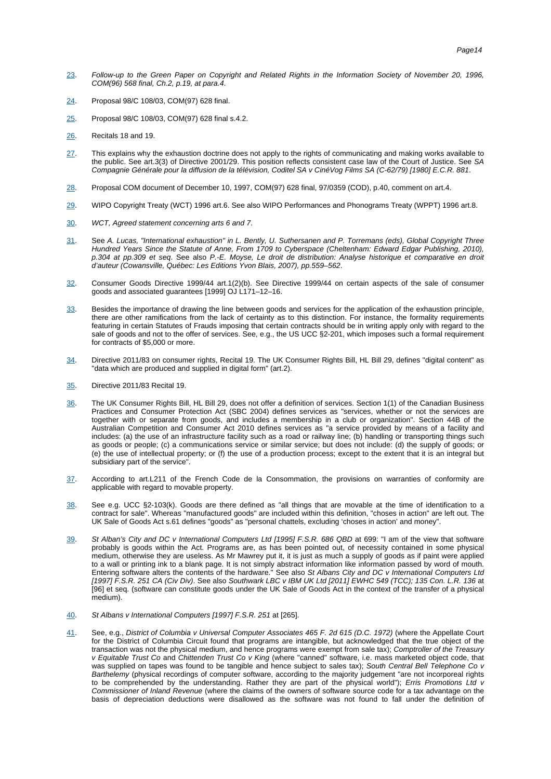- [23.](#page-3-6) Follow-up to the Green Paper on Copyright and Related Rights in the Information Society of November 20, 1996, COM(96) 568 final, Ch.2, p.19, at para.4.
- <span id="page-14-0"></span>[24.](#page-3-7) Proposal 98/C 108/03, COM(97) 628 final.
- <span id="page-14-1"></span>[25.](#page-3-8) Proposal 98/C 108/03, COM(97) 628 final s.4.2.
- <span id="page-14-2"></span>[26.](#page-3-9) Recitals 18 and 19.
- <span id="page-14-3"></span>[27.](#page-3-10) This explains why the exhaustion doctrine does not apply to the rights of communicating and making works available to the public. See art.3(3) of Directive 2001/29. This position reflects consistent case law of the Court of Justice. See SA Compagnie Générale pour la diffusion de la télévision, Coditel SA v CinéVog Films SA (C-62/79) [1980] E.C.R. 881.
- <span id="page-14-4"></span>[28.](#page-3-11) Proposal COM document of December 10, 1997, COM(97) 628 final, 97/0359 (COD), p.40, comment on art.4.
- <span id="page-14-5"></span>[29.](#page-3-12) WIPO Copyright Treaty (WCT) 1996 art.6. See also WIPO Performances and Phonograms Treaty (WPPT) 1996 art.8.
- <span id="page-14-6"></span>[30.](#page-3-13) WCT, Agreed statement concerning arts 6 and 7.
- <span id="page-14-7"></span>[31.](#page-4-0) See A. Lucas, "International exhaustion" in L. Bently, U. Suthersanen and P. Torremans (eds), Global Copyright Three Hundred Years Since the Statute of Anne, From 1709 to Cyberspace (Cheltenham: Edward Edgar Publishing, 2010), p.304 at pp.309 et seq. See also P.-E. Moyse, Le droit de distribution: Analyse historique et comparative en droit d'auteur (Cowansville, Québec: Les Editions Yvon Blais, 2007), pp.559–562.
- <span id="page-14-8"></span>[32.](#page-4-1) Consumer Goods Directive 1999/44 art.1(2)(b). See Directive 1999/44 on certain aspects of the sale of consumer goods and associated guarantees [1999] OJ L171–12–16.
- <span id="page-14-9"></span>[33.](#page-4-2) Besides the importance of drawing the line between goods and services for the application of the exhaustion principle, there are other ramifications from the lack of certainty as to this distinction. For instance, the formality requirements featuring in certain Statutes of Frauds imposing that certain contracts should be in writing apply only with regard to the sale of goods and not to the offer of services. See, e.g., the US UCC §2-201, which imposes such a formal requirement for contracts of \$5,000 or more.
- <span id="page-14-10"></span>[34.](#page-4-3) Directive 2011/83 on consumer rights, Recital 19. The UK Consumer Rights Bill, HL Bill 29, defines "digital content" as "data which are produced and supplied in digital form" (art.2).
- <span id="page-14-11"></span>[35.](#page-4-4) Directive 2011/83 Recital 19.
- <span id="page-14-12"></span>[36.](#page-4-5) The UK Consumer Rights Bill, HL Bill 29, does not offer a definition of services. Section 1(1) of the Canadian Business Practices and Consumer Protection Act (SBC 2004) defines services as "services, whether or not the services are together with or separate from goods, and includes a membership in a club or organization". Section 44B of the Australian Competition and Consumer Act 2010 defines services as "a service provided by means of a facility and includes: (a) the use of an infrastructure facility such as a road or railway line; (b) handling or transporting things such as goods or people; (c) a communications service or similar service; but does not include: (d) the supply of goods; or (e) the use of intellectual property; or (f) the use of a production process; except to the extent that it is an integral but subsidiary part of the service".
- <span id="page-14-13"></span>[37.](#page-4-6) According to art.L211 of the French Code de la Consommation, the provisions on warranties of conformity are applicable with regard to movable property.
- <span id="page-14-14"></span>[38.](#page-4-7) See e.g. UCC §2-103(k). Goods are there defined as "all things that are movable at the time of identification to a contract for sale". Whereas "manufactured goods" are included within this definition, "choses in action" are left out. The UK Sale of Goods Act s.61 defines "goods" as "personal chattels, excluding 'choses in action' and money".
- <span id="page-14-15"></span>[39.](#page-4-8) St Alban's City and DC v International Computers Ltd [1995] F.S.R. 686 QBD at 699: "I am of the view that software probably is goods within the Act. Programs are, as has been pointed out, of necessity contained in some physical medium, otherwise they are useless. As Mr Mawrey put it, it is just as much a supply of goods as if paint were applied to a wall or printing ink to a blank page. It is not simply abstract information like information passed by word of mouth. Entering software alters the contents of the hardware." See also St Albans City and DC v International Computers Ltd [1997] F.S.R. 251 CA (Civ Div). See also Southwark LBC v IBM UK Ltd [2011] EWHC 549 (TCC); 135 Con. L.R. 136 at [96] et seq. (software can constitute goods under the UK Sale of Goods Act in the context of the transfer of a physical medium).
- <span id="page-14-16"></span>[40.](#page-4-9) St Albans v International Computers [1997] F.S.R. 251 at [265].
- <span id="page-14-17"></span>[41.](#page-4-10) See, e.g., District of Columbia v Universal Computer Associates 465 F. 2d 615 (D.C. 1972) (where the Appellate Court for the District of Columbia Circuit found that programs are intangible, but acknowledged that the true object of the transaction was not the physical medium, and hence programs were exempt from sale tax); Comptroller of the Treasury v Equitable Trust Co and Chittenden Trust Co v King (where "canned" software, i.e. mass marketed object code, that was supplied on tapes was found to be tangible and hence subject to sales tax); South Central Bell Telephone Co v Barthelemy (physical recordings of computer software, according to the majority judgement "are not incorporeal rights to be comprehended by the understanding. Rather they are part of the physical world"); Erris Promotions Ltd v Commissioner of Inland Revenue (where the claims of the owners of software source code for a tax advantage on the basis of depreciation deductions were disallowed as the software was not found to fall under the definition of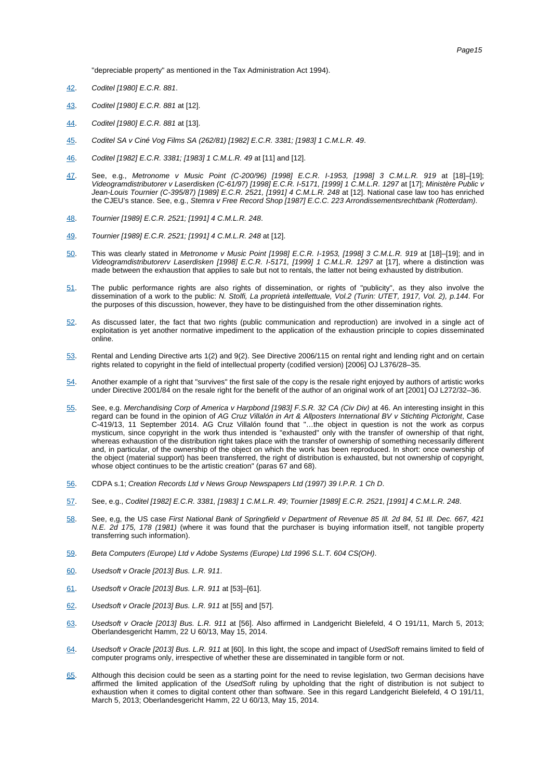"depreciable property" as mentioned in the Tax Administration Act 1994).

- <span id="page-15-0"></span>[42.](#page-4-11) Coditel [1980] E.C.R. 881.
- <span id="page-15-1"></span>[43.](#page-4-12) Coditel [1980] E.C.R. 881 at [12].
- <span id="page-15-2"></span>[44.](#page-4-13) Coditel [1980] E.C.R. 881 at [13].
- <span id="page-15-3"></span>[45.](#page-4-14) Coditel SA v Ciné Vog Films SA (262/81) [1982] E.C.R. 3381; [1983] 1 C.M.L.R. 49.
- <span id="page-15-4"></span>[46.](#page-4-15) Coditel [1982] E.C.R. 3381; [1983] 1 C.M.L.R. 49 at [11] and [12].
- <span id="page-15-5"></span>[47.](#page-4-16) See, e.g., Metronome v Music Point (C-200/96) [1998] E.C.R. I-1953, [1998] 3 C.M.L.R. 919 at [18]–[19]; Videogramdistributorer v Laserdisken (C-61/97) [1998] E.C.R. I-5171, [1999] 1 C.M.L.R. 1297 at [17]; Ministère Public v Jean-Louis Tournier (C-395/87) [1989] E.C.R. 2521, [1991] 4 C.M.L.R. 248 at [12]. National case law too has enriched the CJEU's stance. See, e.g., Stemra v Free Record Shop [1987] E.C.C. 223 Arrondissementsrechtbank (Rotterdam).
- <span id="page-15-6"></span>[48.](#page-5-0) Tournier [1989] E.C.R. 2521; [1991] 4 C.M.L.R. 248.
- <span id="page-15-7"></span>[49.](#page-5-1) Tournier [1989] E.C.R. 2521; [1991] 4 C.M.L.R. 248 at [12].
- <span id="page-15-8"></span>[50.](#page-5-2) This was clearly stated in Metronome v Music Point [1998] E.C.R. I-1953, [1998] 3 C.M.L.R. 919 at [18]–[19]; and in Videogramdistributorerv Laserdisken [1998] E.C.R. I-5171, [1999] 1 C.M.L.R. 1297 at [17], where a distinction was made between the exhaustion that applies to sale but not to rentals, the latter not being exhausted by distribution.
- <span id="page-15-9"></span>[51.](#page-5-3) The public performance rights are also rights of dissemination, or rights of "publicity", as they also involve the dissemination of a work to the public: N. Stolfi, La proprietà intellettuale, Vol.2 (Turin: UTET, 1917, Vol. 2), p.144. For the purposes of this discussion, however, they have to be distinguished from the other dissemination rights.
- <span id="page-15-10"></span>[52.](#page-5-4) As discussed later, the fact that two rights (public communication and reproduction) are involved in a single act of exploitation is yet another normative impediment to the application of the exhaustion principle to copies disseminated online.
- <span id="page-15-11"></span>[53.](#page-5-5) Rental and Lending Directive arts 1(2) and 9(2). See Directive 2006/115 on rental right and lending right and on certain rights related to copyright in the field of intellectual property (codified version) [2006] OJ L376/28–35.
- <span id="page-15-12"></span>[54.](#page-5-6) Another example of a right that "survives" the first sale of the copy is the resale right enjoyed by authors of artistic works under Directive 2001/84 on the resale right for the benefit of the author of an original work of art [2001] OJ L272/32–36.
- <span id="page-15-13"></span>[55.](#page-5-7) See, e.g. Merchandising Corp of America v Harpbond [1983] F.S.R. 32 CA (Civ Div) at 46. An interesting insight in this regard can be found in the opinion of AG Cruz Villalón in Art & Allposters International BV v Stichting Pictoright, Case C-419/13, 11 September 2014. AG Cruz Villalón found that "…the object in question is not the work as corpus mysticum, since copyright in the work thus intended is "exhausted" only with the transfer of ownership of that right, whereas exhaustion of the distribution right takes place with the transfer of ownership of something necessarily different and, in particular, of the ownership of the object on which the work has been reproduced. In short: once ownership of the object (material support) has been transferred, the right of distribution is exhausted, but not ownership of copyright, whose object continues to be the artistic creation" (paras 67 and 68).
- <span id="page-15-14"></span>[56.](#page-5-8) CDPA s.1; Creation Records Ltd v News Group Newspapers Ltd (1997) 39 I.P.R. 1 Ch D.
- <span id="page-15-15"></span>[57.](#page-6-0) See, e.g., Coditel [1982] E.C.R. 3381, [1983] 1 C.M.L.R. 49; Tournier [1989] E.C.R. 2521, [1991] 4 C.M.L.R. 248.
- <span id="page-15-16"></span>[58.](#page-6-1) See, e,g, the US case First National Bank of Springfield v Department of Revenue 85 Ill. 2d 84, 51 Ill. Dec. 667, 421 N.E. 2d 175, 178 (1981) (where it was found that the purchaser is buying information itself, not tangible property transferring such information).
- <span id="page-15-17"></span>[59.](#page-6-2) Beta Computers (Europe) Ltd v Adobe Systems (Europe) Ltd 1996 S.L.T. 604 CS(OH).
- <span id="page-15-18"></span>[60.](#page-6-3) Usedsoft v Oracle [2013] Bus. L.R. 911.
- <span id="page-15-19"></span>[61.](#page-6-4) Usedsoft v Oracle [2013] Bus. L.R. 911 at [53]–[61].
- <span id="page-15-20"></span>[62.](#page-6-5) Usedsoft v Oracle [2013] Bus. L.R. 911 at [55] and [57].
- <span id="page-15-21"></span>[63.](#page-6-6) Usedsoft v Oracle [2013] Bus. L.R. 911 at [56]. Also affirmed in Landgericht Bielefeld, 4 O 191/11, March 5, 2013; Oberlandesgericht Hamm, 22 U 60/13, May 15, 2014.
- <span id="page-15-22"></span>[64.](#page-6-7) Usedsoft v Oracle [2013] Bus. L.R. 911 at [60]. In this light, the scope and impact of UsedSoft remains limited to field of computer programs only, irrespective of whether these are disseminated in tangible form or not.
- <span id="page-15-23"></span>[65.](#page-6-8) Although this decision could be seen as a starting point for the need to revise legislation, two German decisions have affirmed the limited application of the UsedSoft ruling by upholding that the right of distribution is not subject to exhaustion when it comes to digital content other than software. See in this regard Landgericht Bielefeld, 4 O 191/11, March 5, 2013; Oberlandesgericht Hamm, 22 U 60/13, May 15, 2014.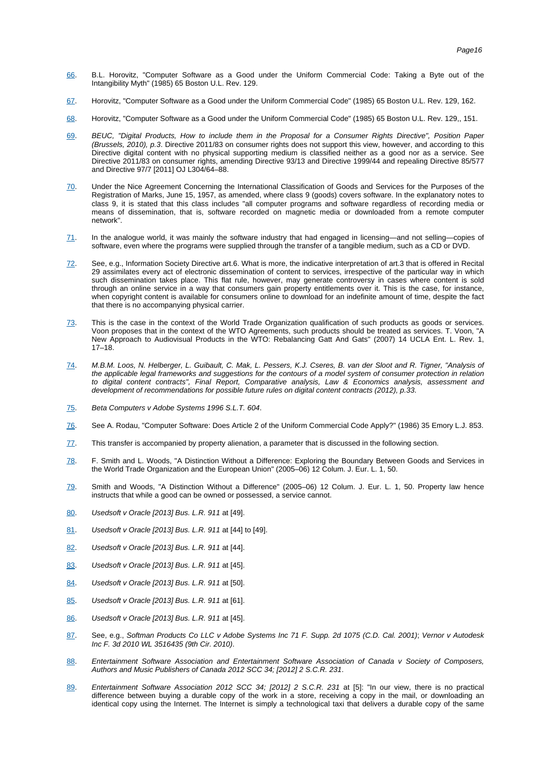- [66.](#page-6-9) B.L. Horovitz, "Computer Software as a Good under the Uniform Commercial Code: Taking a Byte out of the Intangibility Myth" (1985) 65 Boston U.L. Rev. 129.
- <span id="page-16-0"></span>[67.](#page-6-10) Horovitz, "Computer Software as a Good under the Uniform Commercial Code" (1985) 65 Boston U.L. Rev. 129, 162.
- <span id="page-16-1"></span>[68.](#page-6-11) Horovitz, "Computer Software as a Good under the Uniform Commercial Code" (1985) 65 Boston U.L. Rev. 129,, 151.
- <span id="page-16-2"></span>[69.](#page-6-12) BEUC, "Digital Products, How to include them in the Proposal for a Consumer Rights Directive", Position Paper (Brussels, 2010), p.3. Directive 2011/83 on consumer rights does not support this view, however, and according to this Directive digital content with no physical supporting medium is classified neither as a good nor as a service. See Directive 2011/83 on consumer rights, amending Directive 93/13 and Directive 1999/44 and repealing Directive 85/577 and Directive 97/7 [2011] OJ L304/64–88.
- <span id="page-16-3"></span>[70.](#page-6-13) Under the Nice Agreement Concerning the International Classification of Goods and Services for the Purposes of the Registration of Marks, June 15, 1957, as amended, where class 9 (goods) covers software. In the explanatory notes to class 9, it is stated that this class includes "all computer programs and software regardless of recording media or means of dissemination, that is, software recorded on magnetic media or downloaded from a remote computer network".
- <span id="page-16-4"></span>[71.](#page-7-0) In the analogue world, it was mainly the software industry that had engaged in licensing—and not selling—copies of software, even where the programs were supplied through the transfer of a tangible medium, such as a CD or DVD.
- <span id="page-16-5"></span>[72.](#page-7-1) See, e.g., Information Society Directive art.6. What is more, the indicative interpretation of art.3 that is offered in Recital 29 assimilates every act of electronic dissemination of content to services, irrespective of the particular way in which such dissemination takes place. This flat rule, however, may generate controversy in cases where content is sold through an online service in a way that consumers gain property entitlements over it. This is the case, for instance, when copyright content is available for consumers online to download for an indefinite amount of time, despite the fact that there is no accompanying physical carrier.
- <span id="page-16-6"></span>[73.](#page-7-2) This is the case in the context of the World Trade Organization qualification of such products as goods or services. Voon proposes that in the context of the WTO Agreements, such products should be treated as services. T. Voon, "A New Approach to Audiovisual Products in the WTO: Rebalancing Gatt And Gats" (2007) 14 UCLA Ent. L. Rev. 1,  $17-18$ .
- <span id="page-16-7"></span>[74.](#page-7-3) M.B.M. Loos, N. Helberger, L. Guibault, C. Mak, L. Pessers, K.J. Cseres, B. van der Sloot and R. Tigner, "Analysis of the applicable legal frameworks and suggestions for the contours of a model system of consumer protection in relation to digital content contracts", Final Report, Comparative analysis, Law & Economics analysis, assessment and development of recommendations for possible future rules on digital content contracts (2012), p.33.
- <span id="page-16-8"></span>[75.](#page-7-4) Beta Computers v Adobe Systems 1996 S.L.T. 604.
- <span id="page-16-9"></span>[76.](#page-7-5) See A. Rodau, "Computer Software: Does Article 2 of the Uniform Commercial Code Apply?" (1986) 35 Emory L.J. 853.
- <span id="page-16-10"></span>[77.](#page-7-6) This transfer is accompanied by property alienation, a parameter that is discussed in the following section.
- <span id="page-16-11"></span>[78.](#page-7-7) F. Smith and L. Woods, "A Distinction Without a Difference: Exploring the Boundary Between Goods and Services in the World Trade Organization and the European Union" (2005–06) 12 Colum. J. Eur. L. 1, 50.
- <span id="page-16-12"></span>[79.](#page-7-8) Smith and Woods, "A Distinction Without a Difference" (2005–06) 12 Colum. J. Eur. L. 1, 50. Property law hence instructs that while a good can be owned or possessed, a service cannot.
- <span id="page-16-13"></span>[80.](#page-7-9) Usedsoft v Oracle [2013] Bus. L.R. 911 at [49].
- <span id="page-16-14"></span>[81.](#page-7-10) Usedsoft v Oracle [2013] Bus. L.R. 911 at [44] to [49].
- <span id="page-16-15"></span>[82.](#page-8-0) Usedsoft v Oracle [2013] Bus. L.R. 911 at [44].
- <span id="page-16-16"></span>[83.](#page-8-1) Usedsoft v Oracle [2013] Bus. L.R. 911 at [45].
- <span id="page-16-17"></span>[84.](#page-8-2) Usedsoft v Oracle [2013] Bus. L.R. 911 at [50].
- <span id="page-16-18"></span>[85.](#page-8-3) Usedsoft v Oracle [2013] Bus. L.R. 911 at [61].
- <span id="page-16-19"></span>[86.](#page-8-4) Usedsoft v Oracle [2013] Bus. L.R. 911 at [45].
- <span id="page-16-20"></span>[87.](#page-8-5) See, e.g., Softman Products Co LLC v Adobe Systems Inc 71 F. Supp. 2d 1075 (C.D. Cal. 2001); Vernor v Autodesk Inc F. 3d 2010 WL 3516435 (9th Cir. 2010).
- <span id="page-16-21"></span>[88.](#page-8-6) Entertainment Software Association and Entertainment Software Association of Canada v Society of Composers, Authors and Music Publishers of Canada 2012 SCC 34; [2012] 2 S.C.R. 231.
- <span id="page-16-22"></span>[89.](#page-8-7) Entertainment Software Association 2012 SCC 34; [2012] 2 S.C.R. 231 at [5]: "In our view, there is no practical difference between buying a durable copy of the work in a store, receiving a copy in the mail, or downloading an identical copy using the Internet. The Internet is simply a technological taxi that delivers a durable copy of the same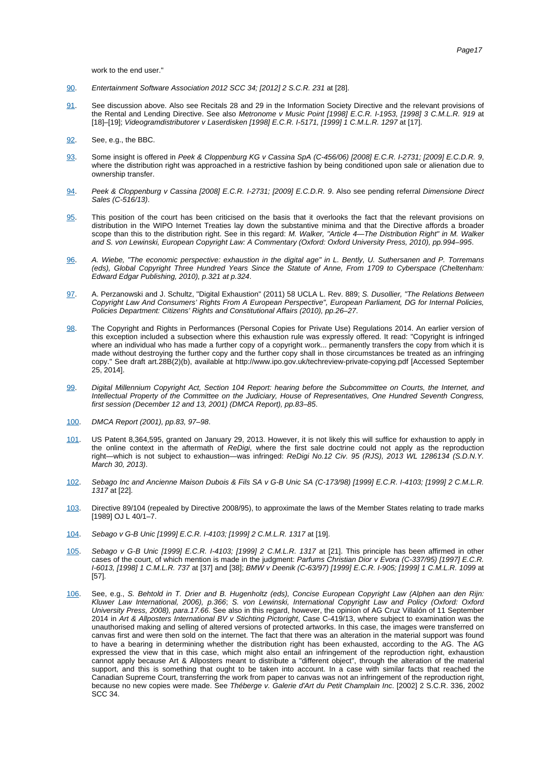work to the end user."

- <span id="page-17-0"></span>[90.](#page-8-8) Entertainment Software Association 2012 SCC 34; [2012] 2 S.C.R. 231 at [28].
- <span id="page-17-1"></span>[91.](#page-8-9) See discussion above. Also see Recitals 28 and 29 in the Information Society Directive and the relevant provisions of the Rental and Lending Directive. See also Metronome v Music Point [1998] E.C.R. I-1953, [1998] 3 C.M.L.R. 919 at [18]–[19]; Videogramdistributorer v Laserdisken [1998] E.C.R. I-5171, [1999] 1 C.M.L.R. 1297 at [17].
- <span id="page-17-2"></span>[92.](#page-8-10) See, e.g., the BBC.
- <span id="page-17-3"></span>[93.](#page-9-0) Some insight is offered in Peek & Cloppenburg KG v Cassina SpA (C-456/06) [2008] E.C.R. I-2731; [2009] E.C.D.R. 9, where the distribution right was approached in a restrictive fashion by being conditioned upon sale or alienation due to ownership transfer.
- <span id="page-17-4"></span>[94.](#page-9-1) Peek & Cloppenburg v Cassina [2008] E.C.R. I-2731; [2009] E.C.D.R. 9. Also see pending referral Dimensione Direct Sales (C-516/13).
- <span id="page-17-5"></span>[95.](#page-9-2) This position of the court has been criticised on the basis that it overlooks the fact that the relevant provisions on distribution in the WIPO Internet Treaties lay down the substantive minima and that the Directive affords a broader scope than this to the distribution right. See in this regard: M. Walker, "Article 4—The Distribution Right" in M. Walker and S. von Lewinski, European Copyright Law: A Commentary (Oxford: Oxford University Press, 2010), pp.994–995.
- <span id="page-17-6"></span>[96.](#page-9-3) A. Wiebe, "The economic perspective: exhaustion in the digital age" in L. Bently, U. Suthersanen and P. Torremans (eds), Global Copyright Three Hundred Years Since the Statute of Anne, From 1709 to Cyberspace (Cheltenham: Edward Edgar Publishing, 2010), p.321 at p.324.
- <span id="page-17-7"></span>[97.](#page-9-3) A. Perzanowski and J. Schultz, "Digital Exhaustion" (2011) 58 UCLA L. Rev. 889; S. Dusollier, "The Relations Between Copyright Law And Consumers' Rights From A European Perspective", European Parliament, DG for Internal Policies, Policies Department: Citizens' Rights and Constitutional Affairs (2010), pp.26–27.
- <span id="page-17-8"></span>[98.](#page-9-4) The Copyright and Rights in Performances (Personal Copies for Private Use) Regulations 2014. An earlier version of this exception included a subsection where this exhaustion rule was expressly offered. It read: "Copyright is infringed where an individual who has made a further copy of a copyright work... permanently transfers the copy from which it is made without destroying the further copy and the further copy shall in those circumstances be treated as an infringing copy." See draft art.28B(2)(b), available at http://www.ipo.gov.uk/techreview-private-copying.pdf [Accessed September 25, 2014].
- <span id="page-17-9"></span>[99.](#page-10-0) Digital Millennium Copyright Act, Section 104 Report: hearing before the Subcommittee on Courts, the Internet, and Intellectual Property of the Committee on the Judiciary, House of Representatives, One Hundred Seventh Congress, first session (December 12 and 13, 2001) (DMCA Report), pp.83–85.
- <span id="page-17-10"></span>[100](#page-10-1). DMCA Report (2001), pp.83, 97–98.
- <span id="page-17-11"></span>[101](#page-10-2). US Patent 8,364,595, granted on January 29, 2013. However, it is not likely this will suffice for exhaustion to apply in the online context in the aftermath of ReDigi, where the first sale doctrine could not apply as the reproduction right—which is not subject to exhaustion—was infringed: ReDigi No.12 Civ. 95 (RJS), 2013 WL 1286134 (S.D.N.Y. March 30, 2013).
- <span id="page-17-12"></span>[102](#page-10-3). Sebago Inc and Ancienne Maison Dubois & Fils SA v G-B Unic SA (C-173/98) [1999] E.C.R. I-4103; [1999] 2 C.M.L.R. 1317 at [22].
- <span id="page-17-13"></span>[103](#page-10-4). Directive 89/104 (repealed by Directive 2008/95), to approximate the laws of the Member States relating to trade marks [1989] OJ L 40/1–7.
- <span id="page-17-14"></span>[104](#page-10-5). Sebago v G-B Unic [1999] E.C.R. I-4103; [1999] 2 C.M.L.R. 1317 at [19].
- <span id="page-17-15"></span>[105](#page-10-6). Sebago v G-B Unic [1999] E.C.R. I-4103; [1999] 2 C.M.L.R. 1317 at [21]. This principle has been affirmed in other cases of the court, of which mention is made in the judgment: Parfums Christian Dior v Evora (C-337/95) [1997] E.C.R. I-6013, [1998] 1 C.M.L.R. 737 at [37] and [38]; BMW v Deenik (C-63/97) [1999] E.C.R. I-905; [1999] 1 C.M.L.R. 1099 at [57].
- <span id="page-17-16"></span>[106](#page-10-7). See, e.g., S. Behtold in T. Drier and B. Hugenholtz (eds), Concise European Copyright Law (Alphen aan den Rijn: Kluwer Law International, 2006), p.366; S. von Lewinski, International Copyright Law and Policy (Oxford: Oxford University Press, 2008), para.17.66. See also in this regard, however, the opinion of AG Cruz Villalón of 11 September 2014 in Art & Allposters International BV v Stichting Pictoright, Case C-419/13, where subject to examination was the unauthorised making and selling of altered versions of protected artworks. In this case, the images were transferred on canvas first and were then sold on the internet. The fact that there was an alteration in the material support was found to have a bearing in determining whether the distribution right has been exhausted, according to the AG. The AG expressed the view that in this case, which might also entail an infringement of the reproduction right, exhaustion cannot apply because Art & Allposters meant to distribute a "different object", through the alteration of the material support, and this is something that ought to be taken into account. In a case with similar facts that reached the Canadian Supreme Court, transferring the work from paper to canvas was not an infringement of the reproduction right, because no new copies were made. See Théberge v. Galerie d'Art du Petit Champlain Inc. [2002] 2 S.C.R. 336, 2002 SCC 34.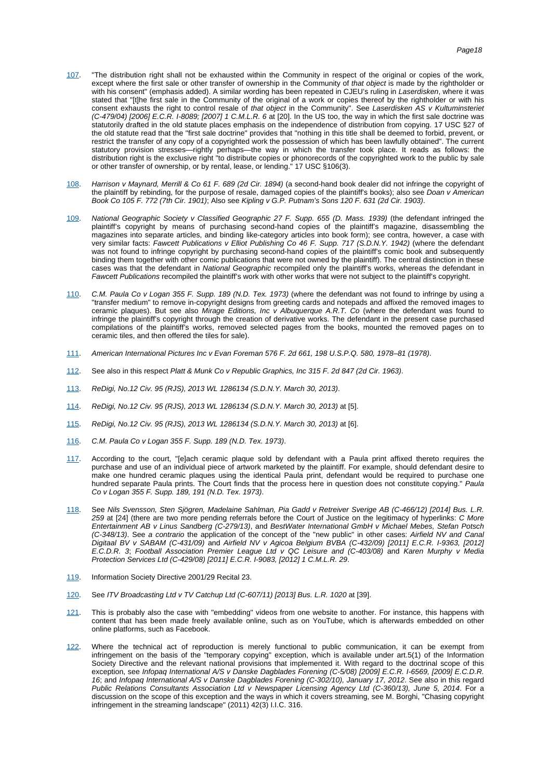- [107](#page-10-8). "The distribution right shall not be exhausted within the Community in respect of the original or copies of the work, except where the first sale or other transfer of ownership in the Community of that object is made by the rightholder or with his consent" (emphasis added). A similar wording has been repeated in CJEU's ruling in Laserdisken, where it was stated that "[t]he first sale in the Community of the original of a work or copies thereof by the rightholder or with his consent exhausts the right to control resale of that object in the Community". See Laserdisken AS v Kultuminsteriet  $(C-479/04)$  [2006] E.C.R. I-8089; [2007] 1 C.M.L.R. 6 at [20]. In the US too, the way in which the first sale doctrine was statutorily drafted in the old statute places emphasis on the independence of distribution from copying. 17 USC §27 of the old statute read that the "first sale doctrine" provides that "nothing in this title shall be deemed to forbid, prevent, or restrict the transfer of any copy of a copyrighted work the possession of which has been lawfully obtained". The current statutory provision stresses—rightly perhaps—the way in which the transfer took place. It reads as follows: the distribution right is the exclusive right "to distribute copies or phonorecords of the copyrighted work to the public by sale or other transfer of ownership, or by rental, lease, or lending." 17 USC §106(3).
- <span id="page-18-0"></span>[108](#page-10-9). Harrison v Maynard, Merrill & Co 61 F. 689 (2d Cir. 1894) (a second-hand book dealer did not infringe the copyright of the plaintiff by rebinding, for the purpose of resale, damaged copies of the plaintiff's books); also see Doan v American Book Co 105 F. 772 (7th Cir. 1901); Also see Kipling v G.P. Putnam's Sons 120 F. 631 (2d Cir. 1903).
- <span id="page-18-1"></span>[109](#page-10-10). National Geographic Society v Classified Geographic 27 F. Supp. 655 (D. Mass. 1939) (the defendant infringed the plaintiff's copyright by means of purchasing second-hand copies of the plaintiff's magazine, disassembling the magazines into separate articles, and binding like-category articles into book form); see contra, however, a case with very similar facts: Fawcett Publications v Elliot Publishing Co 46 F. Supp. 717 (S.D.N.Y. 1942) (where the defendant was not found to infringe copyright by purchasing second-hand copies of the plaintiff's comic book and subsequently binding them together with other comic publications that were not owned by the plaintiff). The central distinction in these cases was that the defendant in National Geographic recompiled only the plaintiff's works, whereas the defendant in Fawcett Publications recompiled the plaintiff's work with other works that were not subject to the plaintiff's copyright.
- <span id="page-18-2"></span>[110](#page-10-10). C.M. Paula Co v Logan 355 F. Supp. 189 (N.D. Tex. 1973) (where the defendant was not found to infringe by using a "transfer medium" to remove in-copyright designs from greeting cards and notepads and affixed the removed images to ceramic plaques). But see also Mirage Editions, Inc v Albuquerque A.R.T. Co (where the defendant was found to infringe the plaintiff's copyright through the creation of derivative works. The defendant in the present case purchased compilations of the plaintiff's works, removed selected pages from the books, mounted the removed pages on to ceramic tiles, and then offered the tiles for sale).
- <span id="page-18-3"></span>[111](#page-10-11). American International Pictures Inc v Evan Foreman 576 F. 2d 661, 198 U.S.P.Q. 580, 1978–81 (1978).
- <span id="page-18-4"></span>[112](#page-10-12). See also in this respect Platt & Munk Co v Republic Graphics, Inc 315 F. 2d 847 (2d Cir. 1963).
- <span id="page-18-5"></span>[113](#page-10-13). ReDigi, No.12 Civ. 95 (RJS), 2013 WL 1286134 (S.D.N.Y. March 30, 2013).
- <span id="page-18-6"></span>[114](#page-11-0). ReDigi, No.12 Civ. 95 (RJS), 2013 WL 1286134 (S.D.N.Y. March 30, 2013) at [5].
- <span id="page-18-7"></span>[115](#page-11-1). ReDigi, No.12 Civ. 95 (RJS), 2013 WL 1286134 (S.D.N.Y. March 30, 2013) at [6].
- <span id="page-18-8"></span>[116](#page-11-2). C.M. Paula Co v Logan 355 F. Supp. 189 (N.D. Tex. 1973).
- <span id="page-18-9"></span>[117](#page-11-3). According to the court, "[e]ach ceramic plaque sold by defendant with a Paula print affixed thereto requires the purchase and use of an individual piece of artwork marketed by the plaintiff. For example, should defendant desire to make one hundred ceramic plaques using the identical Paula print, defendant would be required to purchase one hundred separate Paula prints. The Court finds that the process here in question does not constitute copying." Paula Co v Logan 355 F. Supp. 189, 191 (N.D. Tex. 1973).
- <span id="page-18-10"></span>[118](#page-11-4). See Nils Svensson, Sten Sjögren, Madelaine Sahlman, Pia Gadd v Retreiver Sverige AB (C-466/12) [2014] Bus. L.R. 259 at [24] (there are two more pending referrals before the Court of Justice on the legitimacy of hyperlinks: C More Entertainment AB v Linus Sandberg (C-279/13), and BestWater International GmbH v Michael Mebes, Stefan Potsch (C-348/13). See a contrario the application of the concept of the "new public" in other cases: Airfield NV and Canal Digitaal BV v SABAM (C-431/09) and Airfield NV v Agicoa Belgium BVBA (C-432/09) [2011] E.C.R. I-9363, [2012] E.C.D.R. 3; Football Association Premier League Ltd v QC Leisure and (C-403/08) and Karen Murphy v Media Protection Services Ltd (C-429/08) [2011] E.C.R. I-9083, [2012] 1 C.M.L.R. 29.
- <span id="page-18-11"></span>[119](#page-11-5). Information Society Directive 2001/29 Recital 23.
- <span id="page-18-12"></span>[120](#page-11-6). See ITV Broadcasting Ltd v TV Catchup Ltd (C-607/11) [2013] Bus. L.R. 1020 at [39].
- <span id="page-18-13"></span>[121](#page-11-7). This is probably also the case with "embedding" videos from one website to another. For instance, this happens with content that has been made freely available online, such as on YouTube, which is afterwards embedded on other online platforms, such as Facebook.
- <span id="page-18-14"></span>[122](#page-11-8). Where the technical act of reproduction is merely functional to public communication, it can be exempt from infringement on the basis of the "temporary copying" exception, which is available under art.5(1) of the Information Society Directive and the relevant national provisions that implemented it. With regard to the doctrinal scope of this exception, see Infopaq International A/S v Danske Dagblades Forening (C-5/08) [2009] E.C.R. I-6569, [2009] E.C.D.R. 16; and Infopaq International A/S v Danske Dagblades Forening (C-302/10), January 17, 2012. See also in this regard Public Relations Consultants Association Ltd v Newspaper Licensing Agency Ltd (C-360/13), June 5, 2014. For a discussion on the scope of this exception and the ways in which it covers streaming, see M. Borghi, "Chasing copyright infringement in the streaming landscape" (2011) 42(3) I.I.C. 316.